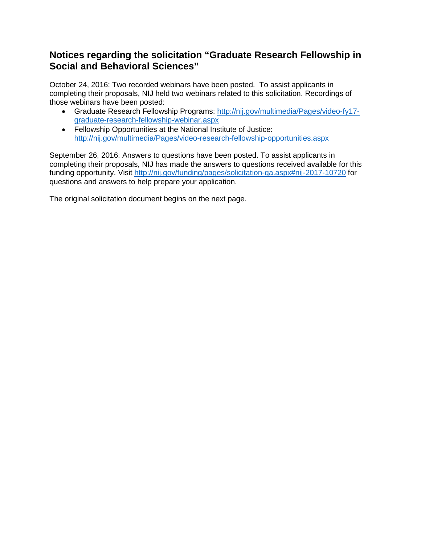### **Notices regarding the solicitation "Graduate Research Fellowship in Social and Behavioral Sciences"**

October 24, 2016: Two recorded webinars have been posted. To assist applicants in completing their proposals, NIJ held two webinars related to this solicitation. Recordings of those webinars have been posted:

- Graduate Research Fellowship Programs: [http://nij.gov/multimedia/Pages/video-fy17](http://nij.gov/multimedia/Pages/video-fy17-graduate-research-fellowship-webinar.aspx) [graduate-research-fellowship-webinar.aspx](http://nij.gov/multimedia/Pages/video-fy17-graduate-research-fellowship-webinar.aspx)
- Fellowship Opportunities at the National Institute of Justice: <http://nij.gov/multimedia/Pages/video-research-fellowship-opportunities.aspx>

September 26, 2016: Answers to questions have been posted. To assist applicants in completing their proposals, NIJ has made the answers to questions received available for this funding opportunity. Visit<http://nij.gov/funding/pages/solicitation-qa.aspx#nij-2017-10720> for questions and answers to help prepare your application.

The original solicitation document begins on the next page.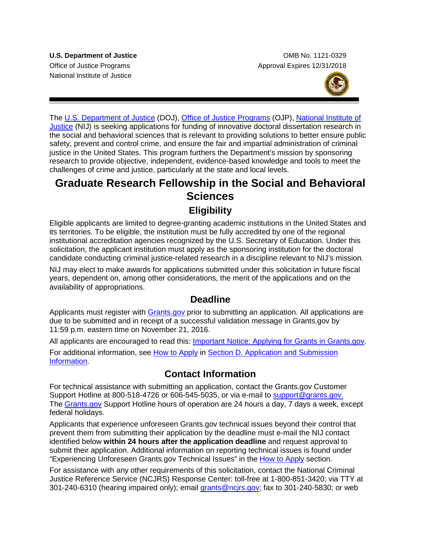National Institute of Justice

**U.S. Department of Justice Combine Combine Combine Combine Combine Combine Combine Combine Combine Combine Combine Combine Combine Combine Combine Combine Combine Combine Combine Combine Combine Combine Combine Combine Co** Office of Justice Programs **Approval Expires 12/31/2018** 



The [U.S. Department of Justice](http://www.usdoj.gov/) (DOJ), [Office of Justice Programs](http://www.ojp.usdoj.gov/) (OJP), [National Institute of](http://www.nij.gov/)  [Justice](http://www.nij.gov/) (NIJ) is seeking applications for funding of innovative doctoral dissertation research in the social and behavioral sciences that is relevant to providing solutions to better ensure public safety, prevent and control crime, and ensure the fair and impartial administration of criminal justice in the United States. This program furthers the Department's mission by sponsoring research to provide objective, independent, evidence-based knowledge and tools to meet the challenges of crime and justice, particularly at the state and local levels.

# **Graduate Research Fellowship in the Social and Behavioral Sciences**

### **Eligibility**

Eligible applicants are limited to degree-granting academic institutions in the United States and its territories. To be eligible, the institution must be fully accredited by one of the regional institutional accreditation agencies recognized by the U.S. Secretary of Education. Under this solicitation, the applicant institution must apply as the sponsoring institution for the doctoral candidate conducting criminal justice-related research in a discipline relevant to NIJ's mission*.*

NIJ may elect to make awards for applications submitted under this solicitation in future fiscal years, dependent on, among other considerations, the merit of the applications and on the availability of appropriations.

### **Deadline**

Applicants must register with [Grants.gov](http://www.grants.gov/web/grants/search-grants.html) prior to submitting an application. All applications are due to be submitted and in receipt of a successful validation message in Grants.gov by 11:59 p.m. eastern time on November 21, 2016.

All applicants are encouraged to read this: [Important Notice: Applying for Grants in Grants.gov.](http://ojp.gov/funding/Apply/Grants-govInfo.htm) For additional information, see [How to Apply](#page-24-0) in [Section D. Application and Submission](#page-13-0)  [Information.](#page-13-0)

## **Contact Information**

For technical assistance with submitting an application, contact the Grants.gov Customer Support Hotline at 800-518-4726 or 606-545-5035, or via e-mail to [support@grants.gov.](mailto:support@grants.gov) The [Grants.gov](http://www.grants.gov/web/grants/search-grants.html) Support Hotline hours of operation are 24 hours a day, 7 days a week, except federal holidays.

Applicants that experience unforeseen Grants.gov technical issues beyond their control that prevent them from submitting their application by the deadline must e-mail the NIJ contact identified below **within 24 hours after the application deadline** and request approval to submit their application. Additional information on reporting technical issues is found under "Experiencing Unforeseen Grants.gov Technical Issues" in the [How to Apply](#page-24-0) section.

For assistance with any other requirements of this solicitation, contact the National Criminal Justice Reference Service (NCJRS) Response Center: toll-free at 1-800-851-3420; via TTY at 301-240-6310 (hearing impaired only); email [grants@ncjrs.gov;](mailto:responsecenter@ncjrs.gov) fax to 301-240-5830; or web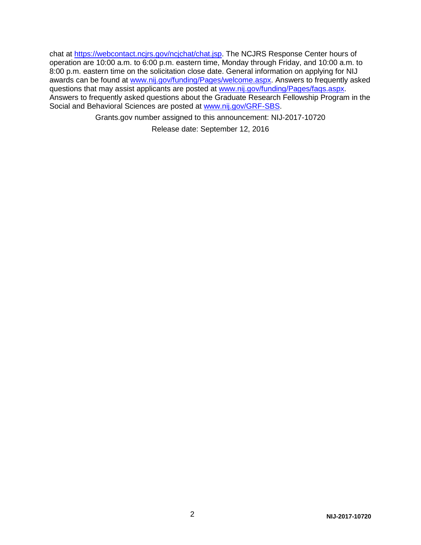chat at <u>https://webcontact.ncjrs.gov/ncjchat/chat.jsp</u>. The NCJRS Response Center hours of operation are 10:00 a.m. to 6:00 p.m. eastern time, Monday through Friday, and 10:00 a.m. to 8:00 p.m. eastern time on the solicitation close date. General information on applying for NIJ awards can be found at [www.nij.gov/funding/Pages/welcome.aspx.](http://www.nij.gov/funding/Pages/welcome.aspx) Answers to frequently asked questions that may assist applicants are posted at [www.nij.gov/funding/Pages/faqs.aspx.](http://www.nij.gov/funding/Pages/faqs.aspx) Answers to frequently asked questions about the Graduate Research Fellowship Program in the Social and Behavioral Sciences are posted at www.nij.gov/GRF-SBS.

Grants.gov number assigned to this announcement: NIJ-2017-10720

Release date: September 12, 2016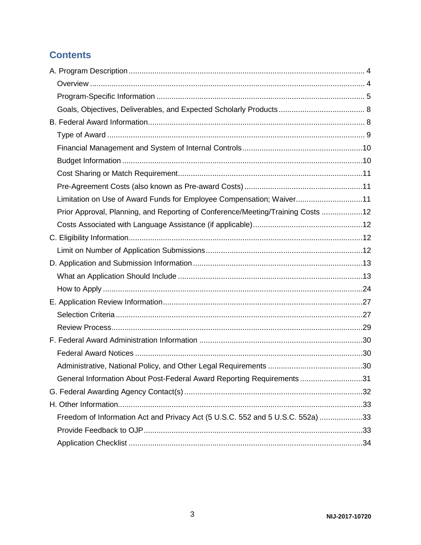# **Contents**

| Limitation on Use of Award Funds for Employee Compensation; Waiver11            |  |
|---------------------------------------------------------------------------------|--|
| Prior Approval, Planning, and Reporting of Conference/Meeting/Training Costs 12 |  |
|                                                                                 |  |
|                                                                                 |  |
|                                                                                 |  |
|                                                                                 |  |
|                                                                                 |  |
|                                                                                 |  |
|                                                                                 |  |
|                                                                                 |  |
|                                                                                 |  |
|                                                                                 |  |
|                                                                                 |  |
|                                                                                 |  |
| General Information About Post-Federal Award Reporting Requirements 31          |  |
|                                                                                 |  |
|                                                                                 |  |
| Freedom of Information Act and Privacy Act (5 U.S.C. 552 and 5 U.S.C. 552a) 33  |  |
|                                                                                 |  |
|                                                                                 |  |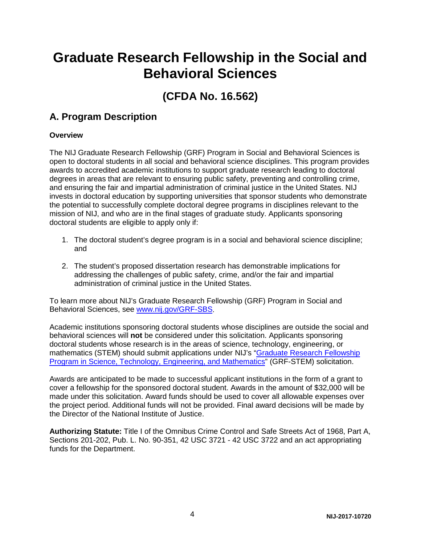# **Graduate Research Fellowship in the Social and Behavioral Sciences**

# **(CFDA No. 16.562)**

## <span id="page-4-0"></span>**A. Program Description**

#### <span id="page-4-1"></span>**Overview**

The NIJ Graduate Research Fellowship (GRF) Program in Social and Behavioral Sciences is open to doctoral students in all social and behavioral science disciplines. This program provides awards to accredited academic institutions to support graduate research leading to doctoral degrees in areas that are relevant to ensuring public safety, preventing and controlling crime, and ensuring the fair and impartial administration of criminal justice in the United States. NIJ invests in doctoral education by supporting universities that sponsor students who demonstrate the potential to successfully complete doctoral degree programs in disciplines relevant to the mission of NIJ, and who are in the final stages of graduate study. Applicants sponsoring doctoral students are eligible to apply only if:

- 1. The doctoral student's degree program is in a social and behavioral science discipline; and
- 2. The student's proposed dissertation research has demonstrable implications for addressing the challenges of public safety, crime, and/or the fair and impartial administration of criminal justice in the United States.

To learn more about NIJ's Graduate Research Fellowship (GRF) Program in Social and Behavioral Sciences, see [www.nij.gov/GRF-SBS.](http://www.nij.gov/GRF-SBS)

Academic institutions sponsoring doctoral students whose disciplines are outside the social and behavioral sciences will **not** be considered under this solicitation. Applicants sponsoring doctoral students whose research is in the areas of science, technology, engineering, or mathematics (STEM) should submit applications under NIJ's ["Graduate Research Fellowship](http://nij.gov/funding/Documents/solicitations/NIJ-2017-10740.pdf)  [Program in Science, Technology, Engineering, and Mathematics"](http://nij.gov/funding/Documents/solicitations/NIJ-2017-10740.pdf) (GRF-STEM) solicitation.

Awards are anticipated to be made to successful applicant institutions in the form of a grant to cover a fellowship for the sponsored doctoral student. Awards in the amount of \$32,000 will be made under this solicitation. Award funds should be used to cover all allowable expenses over the project period. Additional funds will not be provided. Final award decisions will be made by the Director of the National Institute of Justice.

**Authorizing Statute:** Title I of the Omnibus Crime Control and Safe Streets Act of 1968, Part A, Sections 201-202, Pub. L. No. 90-351, 42 USC 3721 - 42 USC 3722 and an act appropriating funds for the Department.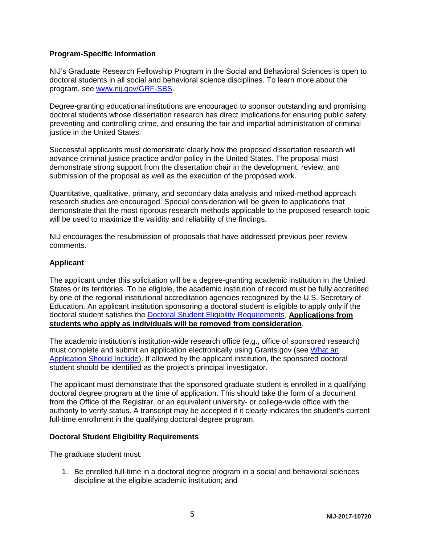#### <span id="page-5-0"></span>**Program-Specific Information**

NIJ's Graduate Research Fellowship Program in the Social and Behavioral Sciences is open to doctoral students in all social and behavioral science disciplines. To learn more about the program, see [www.nij.gov/GRF-SBS.](http://www.nij.gov/GRF-SBS)

Degree-granting educational institutions are encouraged to sponsor outstanding and promising doctoral students whose dissertation research has direct implications for ensuring public safety, preventing and controlling crime, and ensuring the fair and impartial administration of criminal justice in the United States.

Successful applicants must demonstrate clearly how the proposed dissertation research will advance criminal justice practice and/or policy in the United States. The proposal must demonstrate strong support from the dissertation chair in the development, review, and submission of the proposal as well as the execution of the proposed work.

Quantitative, qualitative, primary, and secondary data analysis and mixed-method approach research studies are encouraged. Special consideration will be given to applications that demonstrate that the most rigorous research methods applicable to the proposed research topic will be used to maximize the validity and reliability of the findings.

NIJ encourages the resubmission of proposals that have addressed previous peer review comments.

#### **Applicant**

The applicant under this solicitation will be a degree-granting academic institution in the United States or its territories. To be eligible, the academic institution of record must be fully accredited by one of the regional institutional accreditation agencies recognized by the U.S. Secretary of Education. An applicant institution sponsoring a doctoral student is eligible to apply only if the doctoral student satisfies the [Doctoral Student Eligibility Requirements.](#page-5-1) **Applications from students who apply as individuals will be removed from consideration**.

The academic institution's institution-wide research office (e.g., office of sponsored research) must complete and submit an application electronically using Grants.gov (see [What an](#page-13-1)  [Application Should Include\)](#page-13-1). If allowed by the applicant institution, the sponsored doctoral student should be identified as the project's principal investigator.

The applicant must demonstrate that the sponsored graduate student is enrolled in a qualifying doctoral degree program at the time of application. This should take the form of a document from the Office of the Registrar, or an equivalent university- or college-wide office with the authority to verify status. A transcript may be accepted if it clearly indicates the student's current full-time enrollment in the qualifying doctoral degree program.

#### <span id="page-5-1"></span>**Doctoral Student Eligibility Requirements**

The graduate student must:

1. Be enrolled full-time in a doctoral degree program in a social and behavioral sciences discipline at the eligible academic institution; and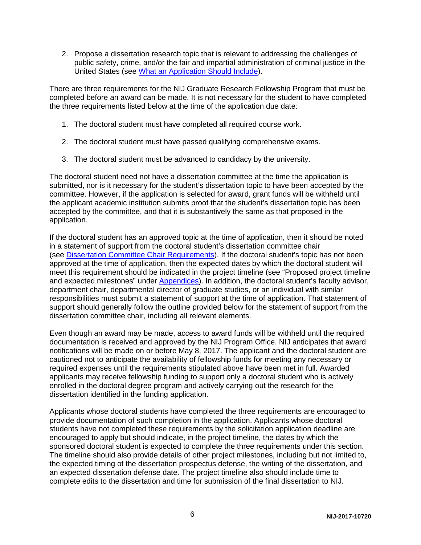2. Propose a dissertation research topic that is relevant to addressing the challenges of public safety, crime, and/or the fair and impartial administration of criminal justice in the United States (see [What an Application Should Include\)](#page-13-1).

There are three requirements for the NIJ Graduate Research Fellowship Program that must be completed before an award can be made. It is not necessary for the student to have completed the three requirements listed below at the time of the application due date:

- 1. The doctoral student must have completed all required course work.
- 2. The doctoral student must have passed qualifying comprehensive exams.
- 3. The doctoral student must be advanced to candidacy by the university.

The doctoral student need not have a dissertation committee at the time the application is submitted, nor is it necessary for the student's dissertation topic to have been accepted by the committee. However, if the application is selected for award, grant funds will be withheld until the applicant academic institution submits proof that the student's dissertation topic has been accepted by the committee, and that it is substantively the same as that proposed in the application.

If the doctoral student has an approved topic at the time of application, then it should be noted in a statement of support from the doctoral student's dissertation committee chair (see Dissertation [Committee Chair Requirements\)](#page-7-0). If the doctoral student's topic has not been approved at the time of application, then the expected dates by which the doctoral student will meet this requirement should be indicated in the project timeline (see "Proposed project timeline and expected milestones" under [Appendices\)](#page-16-0). In addition, the doctoral student's faculty advisor, department chair, departmental director of graduate studies, or an individual with similar responsibilities must submit a statement of support at the time of application. That statement of support should generally follow the outline provided below for the statement of support from the dissertation committee chair, including all relevant elements.

Even though an award may be made, access to award funds will be withheld until the required documentation is received and approved by the NIJ Program Office. NIJ anticipates that award notifications will be made on or before May 8, 2017. The applicant and the doctoral student are cautioned not to anticipate the availability of fellowship funds for meeting any necessary or required expenses until the requirements stipulated above have been met in full. Awarded applicants may receive fellowship funding to support only a doctoral student who is actively enrolled in the doctoral degree program and actively carrying out the research for the dissertation identified in the funding application.

Applicants whose doctoral students have completed the three requirements are encouraged to provide documentation of such completion in the application. Applicants whose doctoral students have not completed these requirements by the solicitation application deadline are encouraged to apply but should indicate, in the project timeline, the dates by which the sponsored doctoral student is expected to complete the three requirements under this section. The timeline should also provide details of other project milestones, including but not limited to, the expected timing of the dissertation prospectus defense, the writing of the dissertation, and an expected dissertation defense date. The project timeline also should include time to complete edits to the dissertation and time for submission of the final dissertation to NIJ.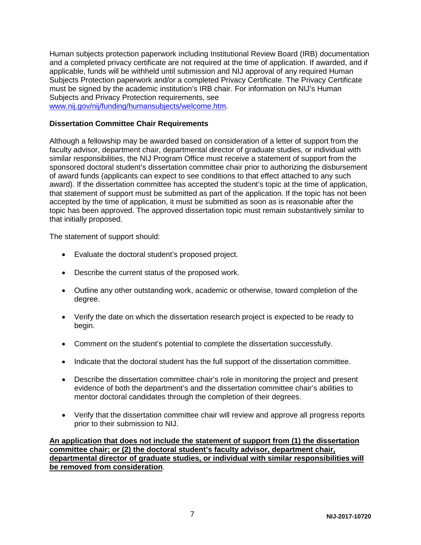Human subjects protection paperwork including Institutional Review Board (IRB) documentation and a completed privacy certificate are not required at the time of application. If awarded, and if applicable, funds will be withheld until submission and NIJ approval of any required Human Subjects Protection paperwork and/or a completed Privacy Certificate. The Privacy Certificate must be signed by the academic institution's IRB chair. For information on NIJ's Human Subjects and Privacy Protection requirements, see [www.nij.gov/nij/funding/humansubjects/welcome.htm.](http://www.nij.gov/nij/funding/humansubjects/welcome.htm)

#### <span id="page-7-0"></span>**Dissertation Committee Chair Requirements**

Although a fellowship may be awarded based on consideration of a letter of support from the faculty advisor, department chair, departmental director of graduate studies, or individual with similar responsibilities, the NIJ Program Office must receive a statement of support from the sponsored doctoral student's dissertation committee chair prior to authorizing the disbursement of award funds (applicants can expect to see conditions to that effect attached to any such award). If the dissertation committee has accepted the student's topic at the time of application, that statement of support must be submitted as part of the application. If the topic has not been accepted by the time of application, it must be submitted as soon as is reasonable after the topic has been approved. The approved dissertation topic must remain substantively similar to that initially proposed.

The statement of support should:

- Evaluate the doctoral student's proposed project.
- Describe the current status of the proposed work.
- Outline any other outstanding work, academic or otherwise, toward completion of the degree.
- Verify the date on which the dissertation research project is expected to be ready to begin.
- Comment on the student's potential to complete the dissertation successfully.
- Indicate that the doctoral student has the full support of the dissertation committee.
- Describe the dissertation committee chair's role in monitoring the project and present evidence of both the department's and the dissertation committee chair's abilities to mentor doctoral candidates through the completion of their degrees.
- Verify that the dissertation committee chair will review and approve all progress reports prior to their submission to NIJ.

**An application that does not include the statement of support from (1) the dissertation committee chair; or (2) the doctoral student's faculty advisor, department chair, departmental director of graduate studies, or individual with similar responsibilities will be removed from consideration**.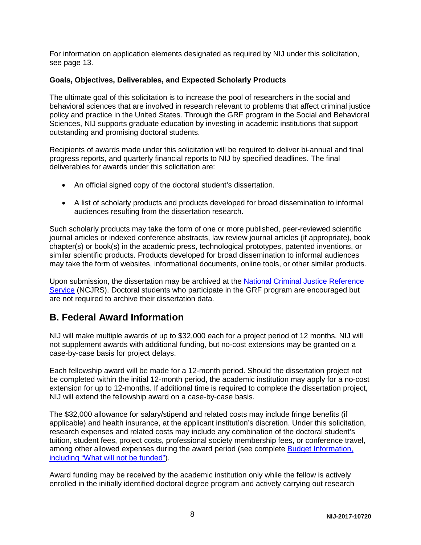For information on application elements designated as required by NIJ under this solicitation, see page 13.

#### <span id="page-8-0"></span>**Goals, Objectives, Deliverables, and Expected Scholarly Products**

The ultimate goal of this solicitation is to increase the pool of researchers in the social and behavioral sciences that are involved in research relevant to problems that affect criminal justice policy and practice in the United States. Through the GRF program in the Social and Behavioral Sciences, NIJ supports graduate education by investing in academic institutions that support outstanding and promising doctoral students.

Recipients of awards made under this solicitation will be required to deliver bi-annual and final progress reports, and quarterly financial reports to NIJ by specified deadlines. The final deliverables for awards under this solicitation are:

- An official signed copy of the doctoral student's dissertation.
- A list of scholarly products and products developed for broad dissemination to informal audiences resulting from the dissertation research.

Such scholarly products may take the form of one or more published, peer-reviewed scientific journal articles or indexed conference abstracts, law review journal articles (if appropriate), book chapter(s) or book(s) in the academic press, technological prototypes, patented inventions, or similar scientific products. Products developed for broad dissemination to informal audiences may take the form of websites, informational documents, online tools, or other similar products.

Upon submission, the dissertation may be archived at the [National Criminal Justice Reference](http://www.ncjrs.gov/)  [Service](http://www.ncjrs.gov/) (NCJRS). Doctoral students who participate in the GRF program are encouraged but are not required to archive their dissertation data.

### <span id="page-8-2"></span><span id="page-8-1"></span>**B. Federal Award Information**

NIJ will make multiple awards of up to \$32,000 each for a project period of 12 months. NIJ will not supplement awards with additional funding, but no-cost extensions may be granted on a case-by-case basis for project delays.

Each fellowship award will be made for a 12-month period. Should the dissertation project not be completed within the initial 12-month period, the academic institution may apply for a no-cost extension for up to 12-months. If additional time is required to complete the dissertation project, NIJ will extend the fellowship award on a case-by-case basis.

The \$32,000 allowance for salary/stipend and related costs may include fringe benefits (if applicable) and health insurance, at the applicant institution's discretion. Under this solicitation, research expenses and related costs may include any combination of the doctoral student's tuition, student fees, project costs, professional society membership fees, or conference travel, among other allowed expenses during the award period (see complete [Budget Information,](#page-10-1)  [including "What will not be funded"](#page-10-1)).

Award funding may be received by the academic institution only while the fellow is actively enrolled in the initially identified doctoral degree program and actively carrying out research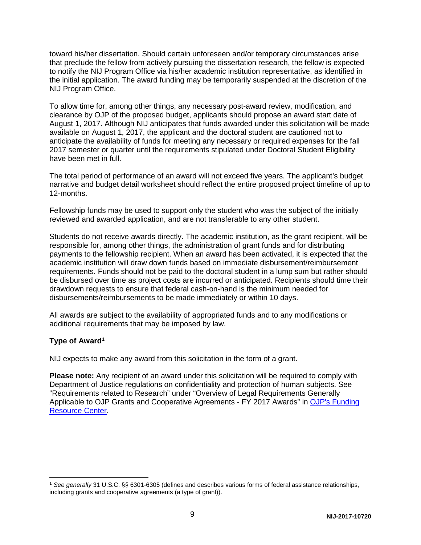toward his/her dissertation. Should certain unforeseen and/or temporary circumstances arise that preclude the fellow from actively pursuing the dissertation research, the fellow is expected to notify the NIJ Program Office via his/her academic institution representative, as identified in the initial application. The award funding may be temporarily suspended at the discretion of the NIJ Program Office.

To allow time for, among other things, any necessary post-award review, modification, and clearance by OJP of the proposed budget, applicants should propose an award start date of August 1, 2017. Although NIJ anticipates that funds awarded under this solicitation will be made available on August 1, 2017, the applicant and the doctoral student are cautioned not to anticipate the availability of funds for meeting any necessary or required expenses for the fall 2017 semester or quarter until the requirements stipulated under Doctoral Student Eligibility have been met in full.

The total period of performance of an award will not exceed five years. The applicant's budget narrative and budget detail worksheet should reflect the entire proposed project timeline of up to 12-months.

Fellowship funds may be used to support only the student who was the subject of the initially reviewed and awarded application, and are not transferable to any other student.

Students do not receive awards directly. The academic institution, as the grant recipient, will be responsible for, among other things, the administration of grant funds and for distributing payments to the fellowship recipient. When an award has been activated, it is expected that the academic institution will draw down funds based on immediate disbursement/reimbursement requirements. Funds should not be paid to the doctoral student in a lump sum but rather should be disbursed over time as project costs are incurred or anticipated. Recipients should time their drawdown requests to ensure that federal cash-on-hand is the minimum needed for disbursements/reimbursements to be made immediately or within 10 days.

All awards are subject to the availability of appropriated funds and to any modifications or additional requirements that may be imposed by law.

#### <span id="page-9-0"></span>**Type of Awar[d1](#page-9-1)**

NIJ expects to make any award from this solicitation in the form of a grant.

**Please note:** Any recipient of an award under this solicitation will be required to comply with Department of Justice regulations on confidentiality and protection of human subjects. See "Requirements related to Research" under "Overview of Legal Requirements Generally Applicable to OJP Grants and Cooperative Agreements - FY 2017 Awards" in OJP's Funding [Resource Center.](http://ojp.gov/funding/index.htm)

<span id="page-9-1"></span> <sup>1</sup> *See generally* 31 U.S.C. §§ 6301-6305 (defines and describes various forms of federal assistance relationships, including grants and cooperative agreements (a type of grant)).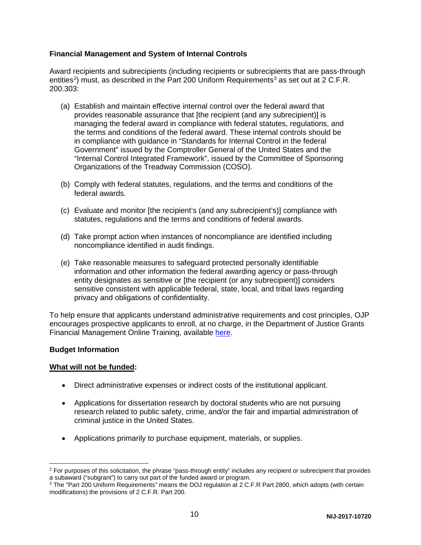#### <span id="page-10-0"></span>**Financial Management and System of Internal Controls**

Award recipients and subrecipients (including recipients or subrecipients that are pass-through entities<sup>[2](#page-10-2)</sup>) must, as described in the Part 200 Uniform Requirements<sup>[3](#page-10-3)</sup> as set out at 2 C.F.R. 200.303:

- (a) Establish and maintain effective internal control over the federal award that provides reasonable assurance that [the recipient (and any subrecipient)] is managing the federal award in compliance with federal statutes, regulations, and the terms and conditions of the federal award. These internal controls should be in compliance with guidance in "Standards for Internal Control in the federal Government" issued by the Comptroller General of the United States and the "Internal Control Integrated Framework", issued by the Committee of Sponsoring Organizations of the Treadway Commission (COSO).
- (b) Comply with federal statutes, regulations, and the terms and conditions of the federal awards.
- (c) Evaluate and monitor [the recipient's (and any subrecipient's)] compliance with statutes, regulations and the terms and conditions of federal awards.
- (d) Take prompt action when instances of noncompliance are identified including noncompliance identified in audit findings.
- (e) Take reasonable measures to safeguard protected personally identifiable information and other information the federal awarding agency or pass-through entity designates as sensitive or [the recipient (or any subrecipient)] considers sensitive consistent with applicable federal, state, local, and tribal laws regarding privacy and obligations of confidentiality.

To help ensure that applicants understand administrative requirements and cost principles, OJP encourages prospective applicants to enroll, at no charge, in the Department of Justice Grants Financial Management Online Training, available [here.](http://gfm.webfirst.com/)

#### <span id="page-10-1"></span>**Budget Information**

#### **What will not be funded:**

- Direct administrative expenses or indirect costs of the institutional applicant.
- Applications for dissertation research by doctoral students who are not pursuing research related to public safety, crime, and/or the fair and impartial administration of criminal justice in the United States.
- Applications primarily to purchase equipment, materials, or supplies.

<span id="page-10-2"></span> $2$  For purposes of this solicitation, the phrase "pass-through entity" includes any recipient or subrecipient that provides a subaward ("subgrant") to carry out part of the funded award or program.

<span id="page-10-3"></span><sup>3</sup> The "Part 200 Uniform Requirements" means the DOJ regulation at 2 C.F.R Part 2800, which adopts (with certain modifications) the provisions of 2 C.F.R. Part 200.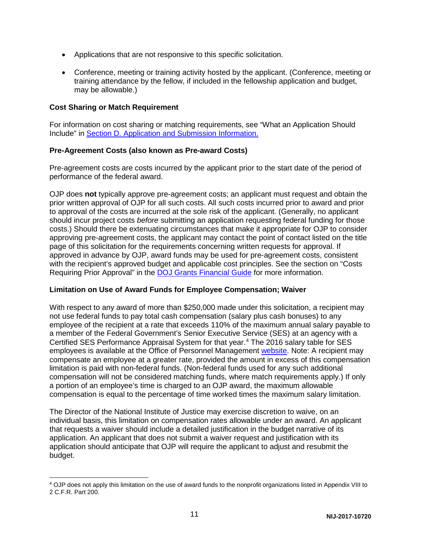- Applications that are not responsive to this specific solicitation.
- Conference, meeting or training activity hosted by the applicant. (Conference, meeting or training attendance by the fellow, if included in the fellowship application and budget, may be allowable.)

#### <span id="page-11-0"></span>**Cost Sharing or Match Requirement**

For information on cost sharing or matching requirements, see "What an Application Should Include" in [Section D. Application and Submission Information.](#page-13-0)

#### <span id="page-11-1"></span>**Pre-Agreement Costs (also known as Pre-award Costs)**

Pre-agreement costs are costs incurred by the applicant prior to the start date of the period of performance of the federal award.

OJP does **not** typically approve pre-agreement costs; an applicant must request and obtain the prior written approval of OJP for all such costs. All such costs incurred prior to award and prior to approval of the costs are incurred at the sole risk of the applicant. (Generally, no applicant should incur project costs *before* submitting an application requesting federal funding for those costs.) Should there be extenuating circumstances that make it appropriate for OJP to consider approving pre-agreement costs, the applicant may contact the point of contact listed on the title page of this solicitation for the requirements concerning written requests for approval. If approved in advance by OJP, award funds may be used for pre-agreement costs, consistent with the recipient's approved budget and applicable cost principles. See the section on "Costs Requiring Prior Approval" in the [DOJ Grants Financial Guide](http://ojp.gov/financialguide/DOJ/index.htm) for more information.

#### <span id="page-11-2"></span>**Limitation on Use of Award Funds for Employee Compensation; Waiver**

With respect to any award of more than \$250,000 made under this solicitation, a recipient may not use federal funds to pay total cash compensation (salary plus cash bonuses) to any employee of the recipient at a rate that exceeds 110% of the maximum annual salary payable to a member of the Federal Government's Senior Executive Service (SES) at an agency with a Certified SES Performance Appraisal System for that year.[4](#page-11-3) The 2016 salary table for SES employees is available at the Office of Personnel Management [website.](http://www.opm.gov/policy-data-oversight/pay-leave/salaries-wages/salary-tables/16Tables/exec/html/ES.aspx) Note: A recipient may compensate an employee at a greater rate, provided the amount in excess of this compensation limitation is paid with non-federal funds. (Non-federal funds used for any such additional compensation will not be considered matching funds, where match requirements apply.) If only a portion of an employee's time is charged to an OJP award, the maximum allowable compensation is equal to the percentage of time worked times the maximum salary limitation.

The Director of the National Institute of Justice may exercise discretion to waive, on an individual basis, this limitation on compensation rates allowable under an award. An applicant that requests a waiver should include a detailed justification in the budget narrative of its application. An applicant that does not submit a waiver request and justification with its application should anticipate that OJP will require the applicant to adjust and resubmit the budget.

<span id="page-11-3"></span> <sup>4</sup> OJP does not apply this limitation on the use of award funds to the nonprofit organizations listed in Appendix VIII to 2 C.F.R. Part 200.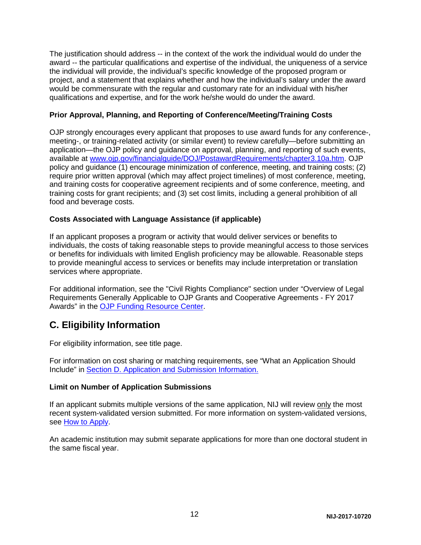The justification should address -- in the context of the work the individual would do under the award -- the particular qualifications and expertise of the individual, the uniqueness of a service the individual will provide, the individual's specific knowledge of the proposed program or project, and a statement that explains whether and how the individual's salary under the award would be commensurate with the regular and customary rate for an individual with his/her qualifications and expertise, and for the work he/she would do under the award.

#### <span id="page-12-0"></span>**Prior Approval, Planning, and Reporting of Conference/Meeting/Training Costs**

OJP strongly encourages every applicant that proposes to use award funds for any conference-, meeting-, or training-related activity (or similar event) to review carefully—before submitting an application—the OJP policy and guidance on approval, planning, and reporting of such events, available at [www.ojp.gov/financialguide/DOJ/PostawardRequirements/chapter3.10a.htm.](http://ojp.gov/financialguide/DOJ/PostawardRequirements/chapter3.10a.htm) OJP policy and guidance (1) encourage minimization of conference, meeting, and training costs; (2) require prior written approval (which may affect project timelines) of most conference, meeting, and training costs for cooperative agreement recipients and of some conference, meeting, and training costs for grant recipients; and (3) set cost limits, including a general prohibition of all food and beverage costs.

#### <span id="page-12-1"></span>**Costs Associated with Language Assistance (if applicable)**

If an applicant proposes a program or activity that would deliver services or benefits to individuals, the costs of taking reasonable steps to provide meaningful access to those services or benefits for individuals with limited English proficiency may be allowable. Reasonable steps to provide meaningful access to services or benefits may include interpretation or translation services where appropriate.

For additional information, see the "Civil Rights Compliance" section under "Overview of Legal Requirements Generally Applicable to OJP Grants and Cooperative Agreements - FY 2017 Awards" in the [OJP Funding Resource Center.](http://ojp.gov/funding/index.htm)

### <span id="page-12-2"></span>**C. Eligibility Information**

For eligibility information, see title page.

For information on cost sharing or matching requirements, see "What an Application Should Include" in [Section D. Application and Submission Information.](#page-13-0)

#### <span id="page-12-3"></span>**Limit on Number of Application Submissions**

If an applicant submits multiple versions of the same application, NIJ will review only the most recent system-validated version submitted. For more information on system-validated versions, see [How to Apply.](#page-24-0)

An academic institution may submit separate applications for more than one doctoral student in the same fiscal year.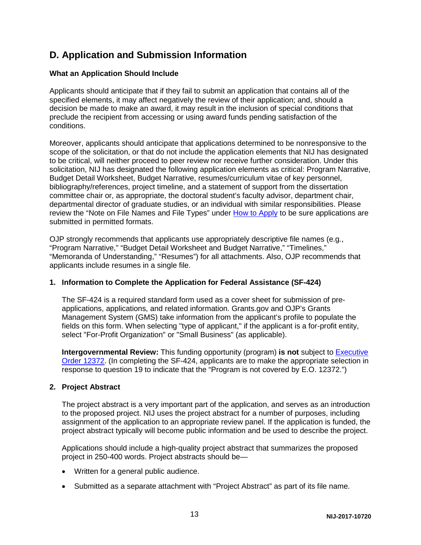### <span id="page-13-0"></span>**D. Application and Submission Information**

#### <span id="page-13-1"></span>**What an Application Should Include**

Applicants should anticipate that if they fail to submit an application that contains all of the specified elements, it may affect negatively the review of their application; and, should a decision be made to make an award, it may result in the inclusion of special conditions that preclude the recipient from accessing or using award funds pending satisfaction of the conditions.

Moreover, applicants should anticipate that applications determined to be nonresponsive to the scope of the solicitation, or that do not include the application elements that NIJ has designated to be critical, will neither proceed to peer review nor receive further consideration. Under this solicitation, NIJ has designated the following application elements as critical: Program Narrative, Budget Detail Worksheet, Budget Narrative, resumes/curriculum vitae of key personnel, bibliography/references, project timeline, and a statement of support from the dissertation committee chair or, as appropriate, the doctoral student's faculty advisor, department chair, departmental director of graduate studies, or an individual with similar responsibilities. Please review the "Note on File Names and File Types" under [How to Apply](#page-24-0) to be sure applications are submitted in permitted formats.

OJP strongly recommends that applicants use appropriately descriptive file names (e.g*.*, "Program Narrative," "Budget Detail Worksheet and Budget Narrative," "Timelines," "Memoranda of Understanding," "Resumes") for all attachments. Also, OJP recommends that applicants include resumes in a single file.

#### **1. Information to Complete the Application for Federal Assistance (SF-424)**

The SF-424 is a required standard form used as a cover sheet for submission of preapplications, applications, and related information. Grants.gov and OJP's Grants Management System (GMS) take information from the applicant's profile to populate the fields on this form. When selecting "type of applicant," if the applicant is a for-profit entity, select "For-Profit Organization" or "Small Business" (as applicable).

**Intergovernmental Review:** This funding opportunity (program) **is not** subject to [Executive](http://www.archives.gov/federal-register/codification/executive-order/12372.html)  [Order 12372.](http://www.archives.gov/federal-register/codification/executive-order/12372.html) (In completing the SF-424, applicants are to make the appropriate selection in response to question 19 to indicate that the "Program is not covered by E.O. 12372.")

#### **2. Project Abstract**

The project abstract is a very important part of the application, and serves as an introduction to the proposed project. NIJ uses the project abstract for a number of purposes, including assignment of the application to an appropriate review panel. If the application is funded, the project abstract typically will become public information and be used to describe the project.

Applications should include a high-quality project abstract that summarizes the proposed project in 250-400 words. Project abstracts should be—

- Written for a general public audience.
- Submitted as a separate attachment with "Project Abstract" as part of its file name.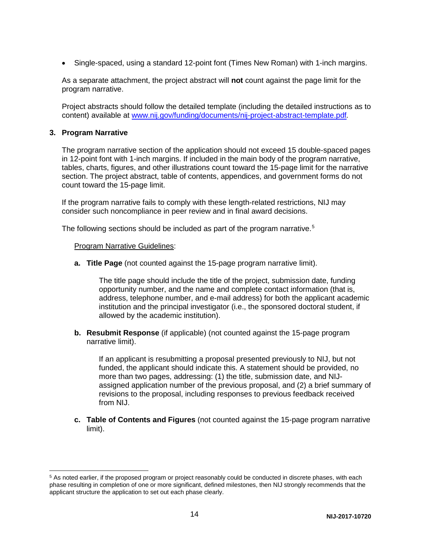• Single-spaced, using a standard 12-point font (Times New Roman) with 1-inch margins.

As a separate attachment, the project abstract will **not** count against the page limit for the program narrative.

Project abstracts should follow the detailed template (including the detailed instructions as to content) available at [www.nij.gov/funding/documents/nij-project-abstract-template.pdf](http://nij.gov/funding/documents/nij-project-abstract-template.pdf)*.*

#### **3. Program Narrative**

The program narrative section of the application should not exceed 15 double-spaced pages in 12-point font with 1-inch margins. If included in the main body of the program narrative, tables, charts, figures, and other illustrations count toward the 15-page limit for the narrative section. The project abstract, table of contents, appendices, and government forms do not count toward the 15-page limit.

If the program narrative fails to comply with these length-related restrictions, NIJ may consider such noncompliance in peer review and in final award decisions.

The following sections should be included as part of the program narrative.<sup>[5](#page-14-0)</sup>

#### Program Narrative Guidelines:

**a. Title Page** (not counted against the 15-page program narrative limit).

The title page should include the title of the project, submission date, funding opportunity number, and the name and complete contact information (that is, address, telephone number, and e-mail address) for both the applicant academic institution and the principal investigator (i.e., the sponsored doctoral student, if allowed by the academic institution).

**b. Resubmit Response** (if applicable) (not counted against the 15-page program narrative limit).

If an applicant is resubmitting a proposal presented previously to NIJ, but not funded, the applicant should indicate this. A statement should be provided, no more than two pages, addressing: (1) the title, submission date, and NIJassigned application number of the previous proposal, and (2) a brief summary of revisions to the proposal, including responses to previous feedback received from NIJ.

**c. Table of Contents and Figures** (not counted against the 15-page program narrative limit).

<span id="page-14-0"></span> <sup>5</sup> As noted earlier, if the proposed program or project reasonably could be conducted in discrete phases, with each phase resulting in completion of one or more significant, defined milestones, then NIJ strongly recommends that the applicant structure the application to set out each phase clearly.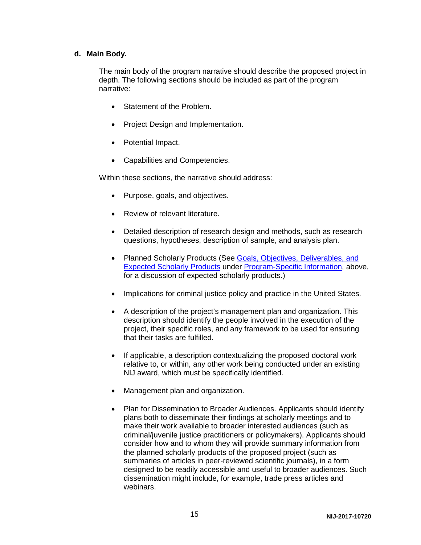#### **d. Main Body.**

The main body of the program narrative should describe the proposed project in depth. The following sections should be included as part of the program narrative:

- Statement of the Problem.
- Project Design and Implementation.
- Potential Impact.
- Capabilities and Competencies.

Within these sections, the narrative should address:

- Purpose, goals, and objectives.
- Review of relevant literature.
- Detailed description of research design and methods, such as research questions, hypotheses, description of sample, and analysis plan.
- Planned Scholarly Products (See Goals, Objectives, Deliverables, and [Expected Scholarly Products](#page-8-2) under [Program-Specific Information,](#page-5-0) above, for a discussion of expected scholarly products.)
- Implications for criminal justice policy and practice in the United States.
- A description of the project's management plan and organization. This description should identify the people involved in the execution of the project, their specific roles, and any framework to be used for ensuring that their tasks are fulfilled.
- If applicable, a description contextualizing the proposed doctoral work relative to, or within, any other work being conducted under an existing NIJ award, which must be specifically identified.
- Management plan and organization.
- Plan for Dissemination to Broader Audiences. Applicants should identify plans both to disseminate their findings at scholarly meetings and to make their work available to broader interested audiences (such as criminal/juvenile justice practitioners or policymakers). Applicants should consider how and to whom they will provide summary information from the planned scholarly products of the proposed project (such as summaries of articles in peer-reviewed scientific journals), in a form designed to be readily accessible and useful to broader audiences. Such dissemination might include, for example, trade press articles and webinars.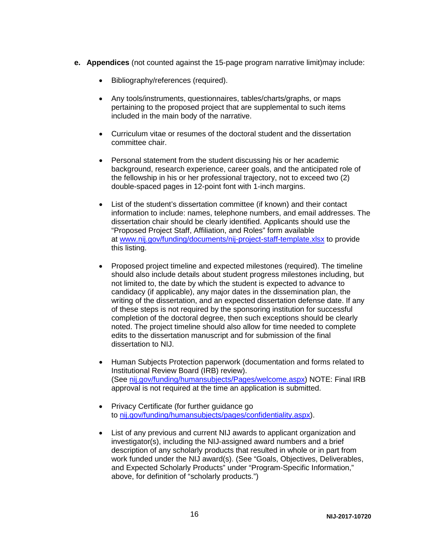- <span id="page-16-0"></span>**e. Appendices** (not counted against the 15-page program narrative limit)may include:
	- Bibliography/references (required).
	- Any tools/instruments, questionnaires, tables/charts/graphs, or maps pertaining to the proposed project that are supplemental to such items included in the main body of the narrative.
	- Curriculum vitae or resumes of the doctoral student and the dissertation committee chair.
	- Personal statement from the student discussing his or her academic background, research experience, career goals, and the anticipated role of the fellowship in his or her professional trajectory, not to exceed two (2) double-spaced pages in 12-point font with 1-inch margins.
	- List of the student's dissertation committee (if known) and their contact information to include: names, telephone numbers, and email addresses. The dissertation chair should be clearly identified. Applicants should use the "Proposed Project Staff, Affiliation, and Roles" form available at [www.nij.gov/funding/documents/nij-project-staff-template.xlsx](http://www.nij.gov/funding/documents/nij-project-staff-template.xlsx) to provide this listing.
	- Proposed project timeline and expected milestones (required). The timeline should also include details about student progress milestones including, but not limited to, the date by which the student is expected to advance to candidacy (if applicable), any major dates in the dissemination plan, the writing of the dissertation, and an expected dissertation defense date. If any of these steps is not required by the sponsoring institution for successful completion of the doctoral degree, then such exceptions should be clearly noted. The project timeline should also allow for time needed to complete edits to the dissertation manuscript and for submission of the final dissertation to NIJ.
	- Human Subjects Protection paperwork (documentation and forms related to Institutional Review Board (IRB) review). (See [nij.gov/funding/humansubjects/Pages/welcome.aspx\)](http://nij.gov/funding/humansubjects/Pages/welcome.aspx) NOTE: Final IRB approval is not required at the time an application is submitted.
	- Privacy Certificate (for further quidance go to [nij.gov/funding/humansubjects/pages/confidentiality.aspx\)](http://nij.gov/funding/humansubjects/pages/confidentiality.aspx).
	- List of any previous and current NIJ awards to applicant organization and investigator(s), including the NIJ-assigned award numbers and a brief description of any scholarly products that resulted in whole or in part from work funded under the NIJ award(s). (See "Goals, Objectives, Deliverables, and Expected Scholarly Products" under "Program-Specific Information," above, for definition of "scholarly products.")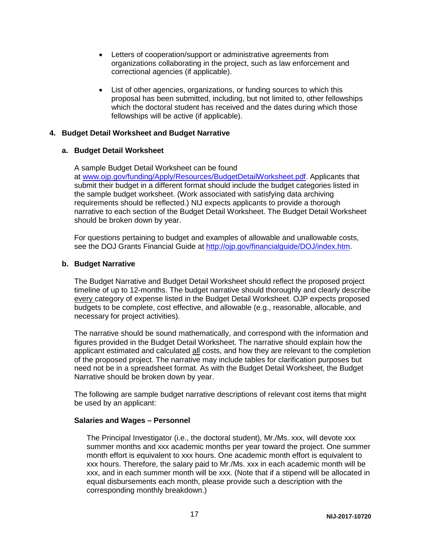- Letters of cooperation/support or administrative agreements from organizations collaborating in the project, such as law enforcement and correctional agencies (if applicable).
- List of other agencies, organizations, or funding sources to which this proposal has been submitted, including, but not limited to, other fellowships which the doctoral student has received and the dates during which those fellowships will be active (if applicable).

#### **4. Budget Detail Worksheet and Budget Narrative**

#### **a. Budget Detail Worksheet**

A sample Budget Detail Worksheet can be found at [www.ojp.gov/funding/Apply/Resources/BudgetDetailWorksheet.pdf.](http://ojp.gov/funding/Apply/Resources/BudgetDetailWorksheet.pdf) Applicants that submit their budget in a different format should include the budget categories listed in the sample budget worksheet. (Work associated with satisfying data archiving requirements should be reflected.) NIJ expects applicants to provide a thorough narrative to each section of the Budget Detail Worksheet. The Budget Detail Worksheet should be broken down by year.

For questions pertaining to budget and examples of allowable and unallowable costs, see the DOJ Grants Financial Guide at [http://ojp.gov/financialguide/DOJ/index.htm.](http://ojp.gov/financialguide/DOJ/index.htm)

#### **b. Budget Narrative**

The Budget Narrative and Budget Detail Worksheet should reflect the proposed project timeline of up to 12-months. The budget narrative should thoroughly and clearly describe every category of expense listed in the Budget Detail Worksheet. OJP expects proposed budgets to be complete, cost effective, and allowable (e.g., reasonable, allocable, and necessary for project activities).

The narrative should be sound mathematically, and correspond with the information and figures provided in the Budget Detail Worksheet. The narrative should explain how the applicant estimated and calculated all costs, and how they are relevant to the completion of the proposed project. The narrative may include tables for clarification purposes but need not be in a spreadsheet format. As with the Budget Detail Worksheet, the Budget Narrative should be broken down by year.

The following are sample budget narrative descriptions of relevant cost items that might be used by an applicant:

#### **Salaries and Wages – Personnel**

The Principal Investigator (i.e., the doctoral student), Mr./Ms. xxx, will devote xxx summer months and xxx academic months per year toward the project. One summer month effort is equivalent to xxx hours. One academic month effort is equivalent to xxx hours. Therefore, the salary paid to Mr./Ms. xxx in each academic month will be xxx, and in each summer month will be xxx. (Note that if a stipend will be allocated in equal disbursements each month, please provide such a description with the corresponding monthly breakdown.)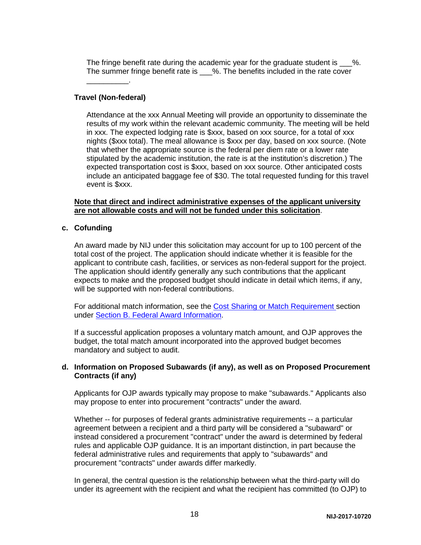The fringe benefit rate during the academic year for the graduate student is  $\%$ . The summer fringe benefit rate is \_\_\_%. The benefits included in the rate cover

#### **Travel (Non-federal)**

 $\overline{\phantom{a}}$  .

Attendance at the xxx Annual Meeting will provide an opportunity to disseminate the results of my work within the relevant academic community. The meeting will be held in xxx. The expected lodging rate is \$xxx, based on xxx source, for a total of xxx nights (\$xxx total). The meal allowance is \$xxx per day, based on xxx source. (Note that whether the appropriate source is the federal per diem rate or a lower rate stipulated by the academic institution, the rate is at the institution's discretion.) The expected transportation cost is \$xxx, based on xxx source. Other anticipated costs include an anticipated baggage fee of \$30. The total requested funding for this travel event is \$xxx.

#### **Note that direct and indirect administrative expenses of the applicant university are not allowable costs and will not be funded under this solicitation**.

#### **c. Cofunding**

An award made by NIJ under this solicitation may account for up to 100 percent of the total cost of the project. The application should indicate whether it is feasible for the applicant to contribute cash, facilities, or services as non-federal support for the project. The application should identify generally any such contributions that the applicant expects to make and the proposed budget should indicate in detail which items, if any, will be supported with non-federal contributions.

For additional match information, see the [Cost Sharing or Match Requirement](#page-11-0) section under [Section B. Federal Award Information.](#page-8-1)

If a successful application proposes a voluntary match amount, and OJP approves the budget, the total match amount incorporated into the approved budget becomes mandatory and subject to audit.

#### **d. Information on Proposed Subawards (if any), as well as on Proposed Procurement Contracts (if any)**

Applicants for OJP awards typically may propose to make "subawards." Applicants also may propose to enter into procurement "contracts" under the award.

Whether -- for purposes of federal grants administrative requirements -- a particular agreement between a recipient and a third party will be considered a "subaward" or instead considered a procurement "contract" under the award is determined by federal rules and applicable OJP guidance. It is an important distinction, in part because the federal administrative rules and requirements that apply to "subawards" and procurement "contracts" under awards differ markedly.

In general, the central question is the relationship between what the third-party will do under its agreement with the recipient and what the recipient has committed (to OJP) to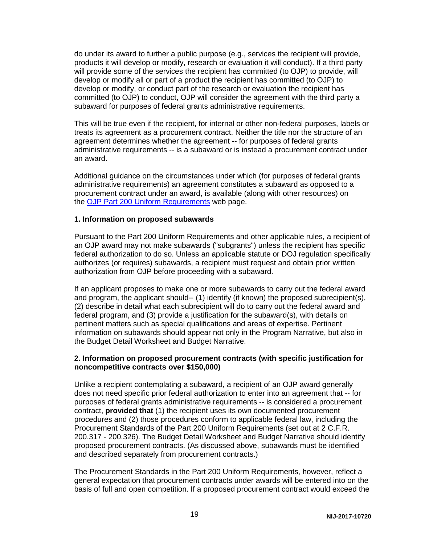do under its award to further a public purpose (e.g., services the recipient will provide, products it will develop or modify, research or evaluation it will conduct). If a third party will provide some of the services the recipient has committed (to OJP) to provide, will develop or modify all or part of a product the recipient has committed (to OJP) to develop or modify, or conduct part of the research or evaluation the recipient has committed (to OJP) to conduct, OJP will consider the agreement with the third party a subaward for purposes of federal grants administrative requirements.

This will be true even if the recipient, for internal or other non-federal purposes, labels or treats its agreement as a procurement contract. Neither the title nor the structure of an agreement determines whether the agreement -- for purposes of federal grants administrative requirements -- is a subaward or is instead a procurement contract under an award.

Additional guidance on the circumstances under which (for purposes of federal grants administrative requirements) an agreement constitutes a subaward as opposed to a procurement contract under an award, is available (along with other resources) on the [OJP Part 200 Uniform Requirements](http://ojp.gov/funding/Part200UniformRequirements.htm) web page.

#### **1. Information on proposed subawards**

Pursuant to the Part 200 Uniform Requirements and other applicable rules, a recipient of an OJP award may not make subawards ("subgrants") unless the recipient has specific federal authorization to do so. Unless an applicable statute or DOJ regulation specifically authorizes (or requires) subawards, a recipient must request and obtain prior written authorization from OJP before proceeding with a subaward.

If an applicant proposes to make one or more subawards to carry out the federal award and program, the applicant should-- (1) identify (if known) the proposed subrecipient(s), (2) describe in detail what each subrecipient will do to carry out the federal award and federal program, and (3) provide a justification for the subaward(s), with details on pertinent matters such as special qualifications and areas of expertise. Pertinent information on subawards should appear not only in the Program Narrative, but also in the Budget Detail Worksheet and Budget Narrative.

#### **2. Information on proposed procurement contracts (with specific justification for noncompetitive contracts over \$150,000)**

Unlike a recipient contemplating a subaward, a recipient of an OJP award generally does not need specific prior federal authorization to enter into an agreement that -- for purposes of federal grants administrative requirements -- is considered a procurement contract, **provided that** (1) the recipient uses its own documented procurement procedures and (2) those procedures conform to applicable federal law, including the Procurement Standards of the Part 200 Uniform Requirements (set out at 2 C.F.R. 200.317 - 200.326). The Budget Detail Worksheet and Budget Narrative should identify proposed procurement contracts. (As discussed above, subawards must be identified and described separately from procurement contracts.)

The Procurement Standards in the Part 200 Uniform Requirements, however, reflect a general expectation that procurement contracts under awards will be entered into on the basis of full and open competition. If a proposed procurement contract would exceed the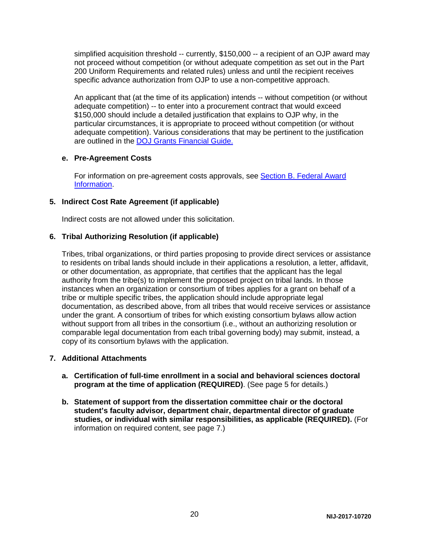simplified acquisition threshold -- currently, \$150,000 -- a recipient of an OJP award may not proceed without competition (or without adequate competition as set out in the Part 200 Uniform Requirements and related rules) unless and until the recipient receives specific advance authorization from OJP to use a non-competitive approach.

An applicant that (at the time of its application) intends -- without competition (or without adequate competition) -- to enter into a procurement contract that would exceed \$150,000 should include a detailed justification that explains to OJP why, in the particular circumstances, it is appropriate to proceed without competition (or without adequate competition). Various considerations that may be pertinent to the justification are outlined in the [DOJ Grants Financial Guide.](http://ojp.gov/financialguide/DOJ/index.htm)

#### **e. Pre-Agreement Costs**

For information on pre-agreement costs approvals, see [Section B. Federal Award](#page-8-1)  [Information.](#page-8-1)

#### **5. Indirect Cost Rate Agreement (if applicable)**

Indirect costs are not allowed under this solicitation.

#### **6. Tribal Authorizing Resolution (if applicable)**

Tribes, tribal organizations, or third parties proposing to provide direct services or assistance to residents on tribal lands should include in their applications a resolution, a letter, affidavit, or other documentation, as appropriate, that certifies that the applicant has the legal authority from the tribe(s) to implement the proposed project on tribal lands. In those instances when an organization or consortium of tribes applies for a grant on behalf of a tribe or multiple specific tribes, the application should include appropriate legal documentation, as described above, from all tribes that would receive services or assistance under the grant. A consortium of tribes for which existing consortium bylaws allow action without support from all tribes in the consortium (i.e., without an authorizing resolution or comparable legal documentation from each tribal governing body) may submit, instead, a copy of its consortium bylaws with the application.

#### **7. Additional Attachments**

- **a. Certification of full-time enrollment in a social and behavioral sciences doctoral program at the time of application (REQUIRED)**. (See page 5 for details.)
- **b. Statement of support from the dissertation committee chair or the doctoral student's faculty advisor, department chair, departmental director of graduate studies, or individual with similar responsibilities, as applicable (REQUIRED).** (For information on required content, see page 7.)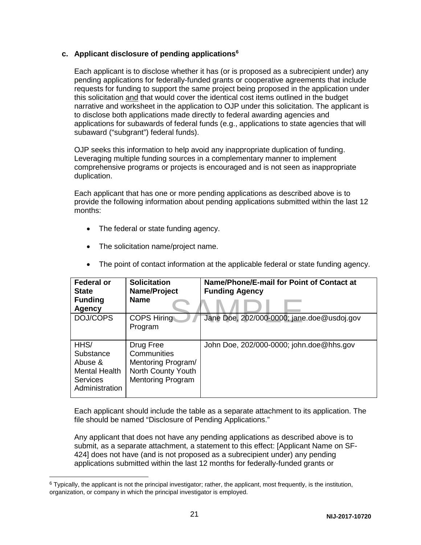#### **c. Applicant disclosure of pending applications[6](#page-21-0)**

Each applicant is to disclose whether it has (or is proposed as a subrecipient under) any pending applications for federally-funded grants or cooperative agreements that include requests for funding to support the same project being proposed in the application under this solicitation and that would cover the identical cost items outlined in the budget narrative and worksheet in the application to OJP under this solicitation. The applicant is to disclose both applications made directly to federal awarding agencies and applications for subawards of federal funds (e.g., applications to state agencies that will subaward ("subgrant") federal funds).

OJP seeks this information to help avoid any inappropriate duplication of funding. Leveraging multiple funding sources in a complementary manner to implement comprehensive programs or projects is encouraged and is not seen as inappropriate duplication.

Each applicant that has one or more pending applications as described above is to provide the following information about pending applications submitted within the last 12 months:

- The federal or state funding agency.
- The solicitation name/project name.

| <b>Federal or</b><br><b>State</b><br><b>Funding</b><br>Agency                      | <b>Solicitation</b><br>Name/Project<br><b>Name</b>                                               | Name/Phone/E-mail for Point of Contact at<br><b>Funding Agency</b> |
|------------------------------------------------------------------------------------|--------------------------------------------------------------------------------------------------|--------------------------------------------------------------------|
| DOJ/COPS                                                                           | <b>COPS Hiring</b><br>Program                                                                    | Jane Doe, 202/000-0000; jane.doe@usdoj.gov                         |
| HHS/<br>Substance<br>Abuse &<br><b>Mental Health</b><br>Services<br>Administration | Drug Free<br>Communities<br>Mentoring Program/<br>North County Youth<br><b>Mentoring Program</b> | John Doe, 202/000-0000; john.doe@hhs.gov                           |

• The point of contact information at the applicable federal or state funding agency.

Each applicant should include the table as a separate attachment to its application. The file should be named "Disclosure of Pending Applications."

Any applicant that does not have any pending applications as described above is to submit, as a separate attachment, a statement to this effect: [Applicant Name on SF-424] does not have (and is not proposed as a subrecipient under) any pending applications submitted within the last 12 months for federally-funded grants or

<span id="page-21-0"></span> $6$  Typically, the applicant is not the principal investigator; rather, the applicant, most frequently, is the institution, organization, or company in which the principal investigator is employed.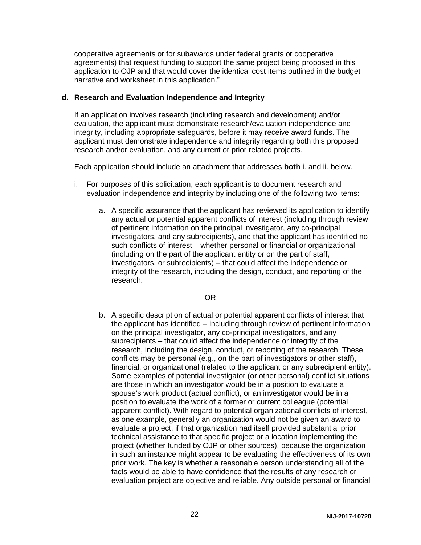cooperative agreements or for subawards under federal grants or cooperative agreements) that request funding to support the same project being proposed in this application to OJP and that would cover the identical cost items outlined in the budget narrative and worksheet in this application."

#### **d. Research and Evaluation Independence and Integrity**

If an application involves research (including research and development) and/or evaluation, the applicant must demonstrate research/evaluation independence and integrity, including appropriate safeguards, before it may receive award funds. The applicant must demonstrate independence and integrity regarding both this proposed research and/or evaluation, and any current or prior related projects.

Each application should include an attachment that addresses **both** i. and ii. below.

- i. For purposes of this solicitation, each applicant is to document research and evaluation independence and integrity by including one of the following two items:
	- a. A specific assurance that the applicant has reviewed its application to identify any actual or potential apparent conflicts of interest (including through review of pertinent information on the principal investigator, any co-principal investigators, and any subrecipients), and that the applicant has identified no such conflicts of interest – whether personal or financial or organizational (including on the part of the applicant entity or on the part of staff, investigators, or subrecipients) – that could affect the independence or integrity of the research, including the design, conduct, and reporting of the research.

#### OR

b. A specific description of actual or potential apparent conflicts of interest that the applicant has identified – including through review of pertinent information on the principal investigator, any co-principal investigators, and any subrecipients – that could affect the independence or integrity of the research, including the design, conduct, or reporting of the research. These conflicts may be personal (e.g., on the part of investigators or other staff), financial, or organizational (related to the applicant or any subrecipient entity). Some examples of potential investigator (or other personal) conflict situations are those in which an investigator would be in a position to evaluate a spouse's work product (actual conflict), or an investigator would be in a position to evaluate the work of a former or current colleague (potential apparent conflict). With regard to potential organizational conflicts of interest, as one example, generally an organization would not be given an award to evaluate a project, if that organization had itself provided substantial prior technical assistance to that specific project or a location implementing the project (whether funded by OJP or other sources), because the organization in such an instance might appear to be evaluating the effectiveness of its own prior work. The key is whether a reasonable person understanding all of the facts would be able to have confidence that the results of any research or evaluation project are objective and reliable. Any outside personal or financial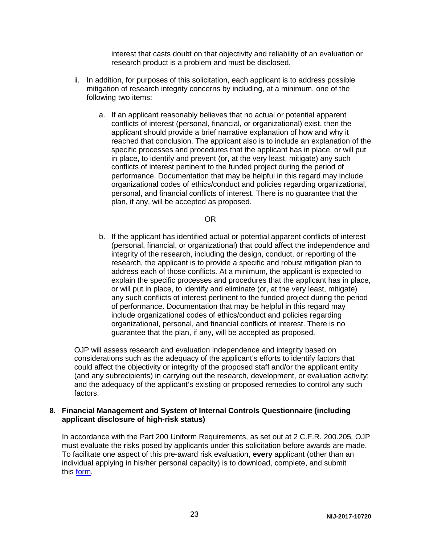interest that casts doubt on that objectivity and reliability of an evaluation or research product is a problem and must be disclosed.

- ii. In addition, for purposes of this solicitation, each applicant is to address possible mitigation of research integrity concerns by including, at a minimum, one of the following two items:
	- a. If an applicant reasonably believes that no actual or potential apparent conflicts of interest (personal, financial, or organizational) exist, then the applicant should provide a brief narrative explanation of how and why it reached that conclusion. The applicant also is to include an explanation of the specific processes and procedures that the applicant has in place, or will put in place, to identify and prevent (or, at the very least, mitigate) any such conflicts of interest pertinent to the funded project during the period of performance. Documentation that may be helpful in this regard may include organizational codes of ethics/conduct and policies regarding organizational, personal, and financial conflicts of interest. There is no guarantee that the plan, if any, will be accepted as proposed.

#### OR

b. If the applicant has identified actual or potential apparent conflicts of interest (personal, financial, or organizational) that could affect the independence and integrity of the research, including the design, conduct, or reporting of the research, the applicant is to provide a specific and robust mitigation plan to address each of those conflicts. At a minimum, the applicant is expected to explain the specific processes and procedures that the applicant has in place, or will put in place, to identify and eliminate (or, at the very least, mitigate) any such conflicts of interest pertinent to the funded project during the period of performance. Documentation that may be helpful in this regard may include organizational codes of ethics/conduct and policies regarding organizational, personal, and financial conflicts of interest. There is no guarantee that the plan, if any, will be accepted as proposed.

OJP will assess research and evaluation independence and integrity based on considerations such as the adequacy of the applicant's efforts to identify factors that could affect the objectivity or integrity of the proposed staff and/or the applicant entity (and any subrecipients) in carrying out the research, development, or evaluation activity; and the adequacy of the applicant's existing or proposed remedies to control any such factors.

#### **8. Financial Management and System of Internal Controls Questionnaire (including applicant disclosure of high-risk status)**

In accordance with the Part 200 Uniform Requirements, as set out at 2 C.F.R. 200.205*,* OJP must evaluate the risks posed by applicants under this solicitation before awards are made. To facilitate one aspect of this pre-award risk evaluation, **every** applicant (other than an individual applying in his/her personal capacity) is to download, complete, and submit this [form.](http://ojp.gov/funding/Apply/Resources/FinancialCapability.pdf)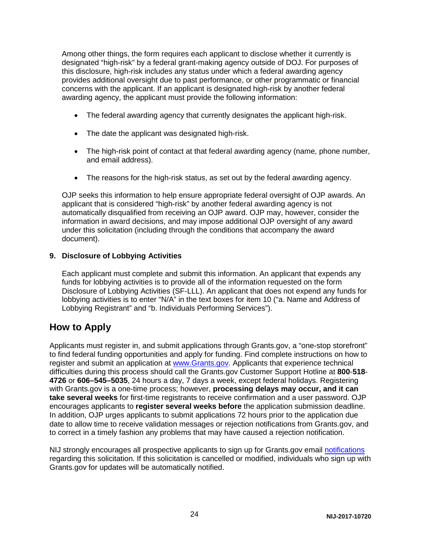Among other things, the form requires each applicant to disclose whether it currently is designated "high-risk" by a federal grant-making agency outside of DOJ. For purposes of this disclosure, high-risk includes any status under which a federal awarding agency provides additional oversight due to past performance, or other programmatic or financial concerns with the applicant. If an applicant is designated high-risk by another federal awarding agency, the applicant must provide the following information:

- The federal awarding agency that currently designates the applicant high-risk.
- The date the applicant was designated high-risk.
- The high-risk point of contact at that federal awarding agency (name, phone number, and email address).
- The reasons for the high-risk status, as set out by the federal awarding agency.

OJP seeks this information to help ensure appropriate federal oversight of OJP awards. An applicant that is considered "high-risk" by another federal awarding agency is not automatically disqualified from receiving an OJP award. OJP may, however, consider the information in award decisions, and may impose additional OJP oversight of any award under this solicitation (including through the conditions that accompany the award document).

#### **9. Disclosure of Lobbying Activities**

Each applicant must complete and submit this information. An applicant that expends any funds for lobbying activities is to provide all of the information requested on the form Disclosure of Lobbying Activities (SF-LLL). An applicant that does not expend any funds for lobbying activities is to enter "N/A" in the text boxes for item 10 ("a. Name and Address of Lobbying Registrant" and "b. Individuals Performing Services").

### <span id="page-24-0"></span>**How to Apply**

Applicants must register in, and submit applications through Grants.gov, a "one-stop storefront" to find federal funding opportunities and apply for funding. Find complete instructions on how to register and submit an application at [www.Grants.gov.](http://www.grants.gov/) Applicants that experience technical difficulties during this process should call the Grants.gov Customer Support Hotline at **800**-**518**- **4726** or **606–545–5035**, 24 hours a day, 7 days a week, except federal holidays. Registering with Grants.gov is a one-time process; however, **processing delays may occur, and it can take several weeks** for first-time registrants to receive confirmation and a user password. OJP encourages applicants to **register several weeks before** the application submission deadline. In addition, OJP urges applicants to submit applications 72 hours prior to the application due date to allow time to receive validation messages or rejection notifications from Grants.gov, and to correct in a timely fashion any problems that may have caused a rejection notification.

NIJ strongly encourages all prospective applicants to sign up for Grants.gov email [notifications](http://www.grants.gov/web/grants/manage-subscriptions.html) regarding this solicitation. If this solicitation is cancelled or modified, individuals who sign up with Grants.gov for updates will be automatically notified.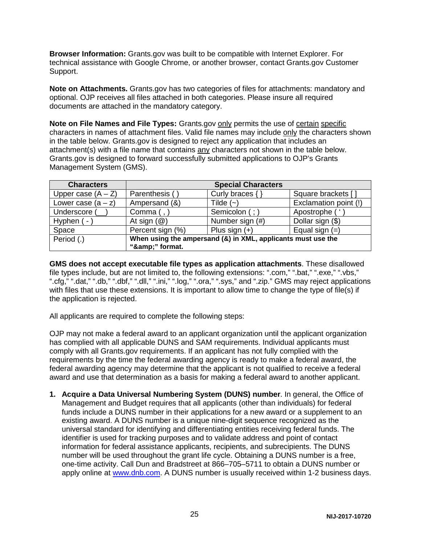**Browser Information:** Grants.gov was built to be compatible with Internet Explorer. For technical assistance with Google Chrome, or another browser, contact Grants.gov Customer Support.

**Note on Attachments.** Grants.gov has two categories of files for attachments: mandatory and optional. OJP receives all files attached in both categories. Please insure all required documents are attached in the mandatory category.

**Note on File Names and File Types:** Grants.gov only permits the use of certain specific characters in names of attachment files. Valid file names may include only the characters shown in the table below. Grants.gov is designed to reject any application that includes an attachment(s) with a file name that contains any characters not shown in the table below. Grants.gov is designed to forward successfully submitted applications to OJP's Grants Management System (GMS).

| <b>Characters</b>    | <b>Special Characters</b>                                    |                     |                       |
|----------------------|--------------------------------------------------------------|---------------------|-----------------------|
| Upper case $(A - Z)$ | Parenthesis (                                                | Curly braces $\{\}$ | Square brackets []    |
| Lower case $(a - z)$ | Ampersand (&)                                                | Tilde $(-)$         | Exclamation point (!) |
| Underscore (         | Comma (,                                                     | Semicolon (; )      | Apostrophe ('         |
| Hyphen $(-)$         | At sign $(\mathcal{Q})$                                      | Number sign (#)     | Dollar sign (\$)      |
| Space                | Percent sign (%)                                             | Plus sign $(+)$     | Equal sign $(=)$      |
| Period (.)           | When using the ampersand (&) in XML, applicants must use the |                     |                       |
|                      | "&" format.                                                  |                     |                       |

**GMS does not accept executable file types as application attachments**. These disallowed file types include, but are not limited to, the following extensions: ".com," ".bat," ".exe," ".vbs," ".cfg," ".dat," ".db," ".dbf," ".dll," ".ini," ".log," ".ora," ".sys," and ".zip." GMS may reject applications with files that use these extensions. It is important to allow time to change the type of file(s) if the application is rejected.

All applicants are required to complete the following steps:

OJP may not make a federal award to an applicant organization until the applicant organization has complied with all applicable DUNS and SAM requirements. Individual applicants must comply with all Grants.gov requirements. If an applicant has not fully complied with the requirements by the time the federal awarding agency is ready to make a federal award, the federal awarding agency may determine that the applicant is not qualified to receive a federal award and use that determination as a basis for making a federal award to another applicant.

**1. Acquire a Data Universal Numbering System (DUNS) number**. In general, the Office of Management and Budget requires that all applicants (other than individuals) for federal funds include a DUNS number in their applications for a new award or a supplement to an existing award. A DUNS number is a unique nine-digit sequence recognized as the universal standard for identifying and differentiating entities receiving federal funds. The identifier is used for tracking purposes and to validate address and point of contact information for federal assistance applicants, recipients, and subrecipients. The DUNS number will be used throughout the grant life cycle. Obtaining a DUNS number is a free, one-time activity. Call Dun and Bradstreet at 866–705–5711 to obtain a DUNS number or apply online at [www.dnb.com.](http://www.dnb.com/) A DUNS number is usually received within 1-2 business days.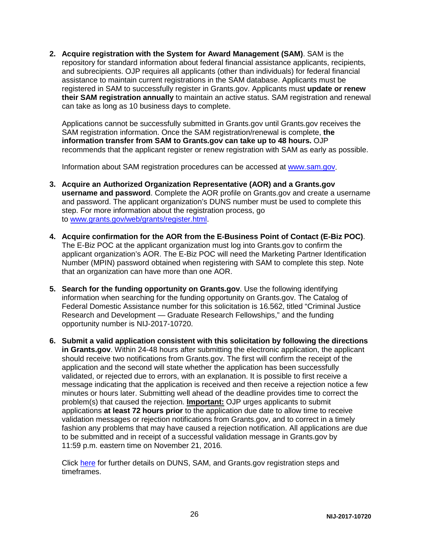**2. Acquire registration with the System for Award Management (SAM)**. SAM is the repository for standard information about federal financial assistance applicants, recipients, and subrecipients. OJP requires all applicants (other than individuals) for federal financial assistance to maintain current registrations in the SAM database. Applicants must be registered in SAM to successfully register in Grants.gov. Applicants must **update or renew their SAM registration annually** to maintain an active status. SAM registration and renewal can take as long as 10 business days to complete.

Applications cannot be successfully submitted in Grants.gov until Grants.gov receives the SAM registration information. Once the SAM registration/renewal is complete, **the information transfer from SAM to Grants.gov can take up to 48 hours.** OJP recommends that the applicant register or renew registration with SAM as early as possible.

Information about SAM registration procedures can be accessed at [www.sam.gov.](https://www.sam.gov/portal/public/SAM/?portal:componentId=1f834b82-3fed-4eb3-a1f8-ea1f226a7955&portal:type=action&interactionstate=JBPNS_rO0ABXc0ABBfanNmQnJpZGdlVmlld0lkAAAAAQATL2pzZi9uYXZpZ2F0aW9uLmpzcAAHX19FT0ZfXw**)

- **3. Acquire an Authorized Organization Representative (AOR) and a Grants.gov username and password**. Complete the AOR profile on Grants.gov and create a username and password. The applicant organization's DUNS number must be used to complete this step. For more information about the registration process, go to [www.grants.gov/web/grants/register.html.](http://www.grants.gov/web/grants/register.html)
- **4. Acquire confirmation for the AOR from the E-Business Point of Contact (E-Biz POC)**. The E-Biz POC at the applicant organization must log into Grants.gov to confirm the applicant organization's AOR. The E-Biz POC will need the Marketing Partner Identification Number (MPIN) password obtained when registering with SAM to complete this step. Note that an organization can have more than one AOR.
- **5. Search for the funding opportunity on Grants.gov**. Use the following identifying information when searching for the funding opportunity on Grants.gov. The Catalog of Federal Domestic Assistance number for this solicitation is 16.562, titled "Criminal Justice Research and Development — Graduate Research Fellowships," and the funding opportunity number is NIJ-2017-10720.
- **6. Submit a valid application consistent with this solicitation by following the directions in Grants.gov**. Within 24-48 hours after submitting the electronic application, the applicant should receive two notifications from Grants.gov. The first will confirm the receipt of the application and the second will state whether the application has been successfully validated, or rejected due to errors, with an explanation. It is possible to first receive a message indicating that the application is received and then receive a rejection notice a few minutes or hours later. Submitting well ahead of the deadline provides time to correct the problem(s) that caused the rejection. **Important:** OJP urges applicants to submit applications **at least 72 hours prior** to the application due date to allow time to receive validation messages or rejection notifications from Grants.gov, and to correct in a timely fashion any problems that may have caused a rejection notification. All applications are due to be submitted and in receipt of a successful validation message in Grants.gov by 11:59 p.m. eastern time on November 21, 2016*.*

Click [here](http://www.grants.gov/web/grants/applicants/organization-registration.html) for further details on DUNS, SAM, and Grants.gov registration steps and timeframes.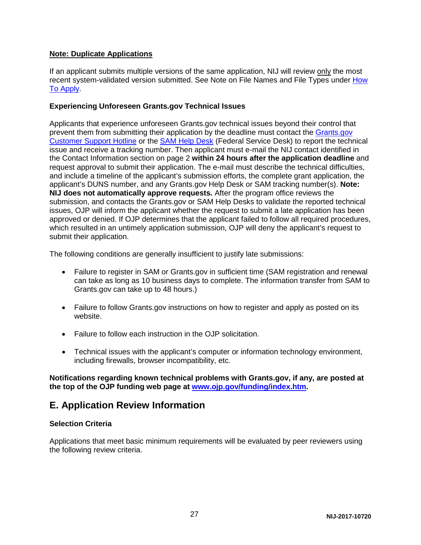#### **Note: Duplicate Applications**

If an applicant submits multiple versions of the same application, NIJ will review only the most recent system-validated version submitted. See Note on File Names and File Types under [How](#page-24-0)  [To Apply.](#page-24-0)

#### **Experiencing Unforeseen Grants.gov Technical Issues**

Applicants that experience unforeseen Grants.gov technical issues beyond their control that prevent them from submitting their application by the deadline must contact the [Grants.gov](mailto:support@grants.gov)  [Customer Support Hotline](mailto:support@grants.gov) or the [SAM Help Desk](http://www.fsd.gov/) (Federal Service Desk) to report the technical issue and receive a tracking number. Then applicant must e-mail the NIJ contact identified in the Contact Information section on page 2 **within 24 hours after the application deadline** and request approval to submit their application. The e-mail must describe the technical difficulties, and include a timeline of the applicant's submission efforts, the complete grant application, the applicant's DUNS number, and any Grants.gov Help Desk or SAM tracking number(s). **Note: NIJ does not automatically approve requests***.* After the program office reviews the submission, and contacts the Grants.gov or SAM Help Desks to validate the reported technical issues, OJP will inform the applicant whether the request to submit a late application has been approved or denied. If OJP determines that the applicant failed to follow all required procedures, which resulted in an untimely application submission, OJP will deny the applicant's request to submit their application.

The following conditions are generally insufficient to justify late submissions:

- Failure to register in SAM or Grants.gov in sufficient time (SAM registration and renewal can take as long as 10 business days to complete. The information transfer from SAM to Grants.gov can take up to 48 hours.)
- Failure to follow Grants.gov instructions on how to register and apply as posted on its website.
- Failure to follow each instruction in the OJP solicitation.
- Technical issues with the applicant's computer or information technology environment, including firewalls, browser incompatibility, etc.

**Notifications regarding known technical problems with Grants.gov, if any, are posted at the top of the OJP funding web page at [www.ojp.gov/funding/index.htm.](http://www.ojp.gov/funding/index.htm)**

## <span id="page-27-0"></span>**E. Application Review Information**

#### <span id="page-27-1"></span>**Selection Criteria**

Applications that meet basic minimum requirements will be evaluated by peer reviewers using the following review criteria.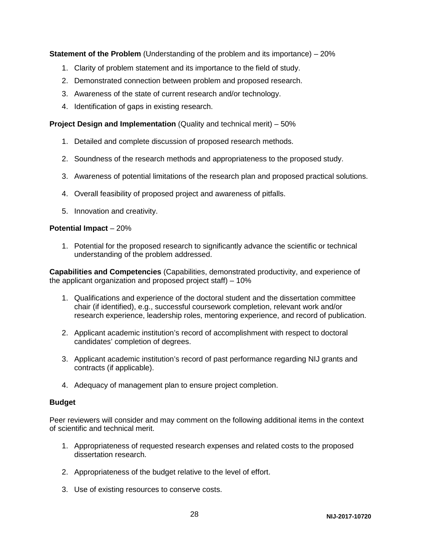**Statement of the Problem** (Understanding of the problem and its importance) – 20%

- 1. Clarity of problem statement and its importance to the field of study.
- 2. Demonstrated connection between problem and proposed research.
- 3. Awareness of the state of current research and/or technology.
- 4. Identification of gaps in existing research.

**Project Design and Implementation** (Quality and technical merit) – 50%

- 1. Detailed and complete discussion of proposed research methods.
- 2. Soundness of the research methods and appropriateness to the proposed study.
- 3. Awareness of potential limitations of the research plan and proposed practical solutions.
- 4. Overall feasibility of proposed project and awareness of pitfalls.
- 5. Innovation and creativity.

#### **Potential Impact** – 20%

1. Potential for the proposed research to significantly advance the scientific or technical understanding of the problem addressed.

**Capabilities and Competencies** (Capabilities, demonstrated productivity, and experience of the applicant organization and proposed project staff) – 10%

- 1. Qualifications and experience of the doctoral student and the dissertation committee chair (if identified), e.g., successful coursework completion, relevant work and/or research experience, leadership roles, mentoring experience, and record of publication.
- 2. Applicant academic institution's record of accomplishment with respect to doctoral candidates' completion of degrees.
- 3. Applicant academic institution's record of past performance regarding NIJ grants and contracts (if applicable).
- 4. Adequacy of management plan to ensure project completion.

#### **Budget**

Peer reviewers will consider and may comment on the following additional items in the context of scientific and technical merit.

- 1. Appropriateness of requested research expenses and related costs to the proposed dissertation research.
- 2. Appropriateness of the budget relative to the level of effort.
- 3. Use of existing resources to conserve costs.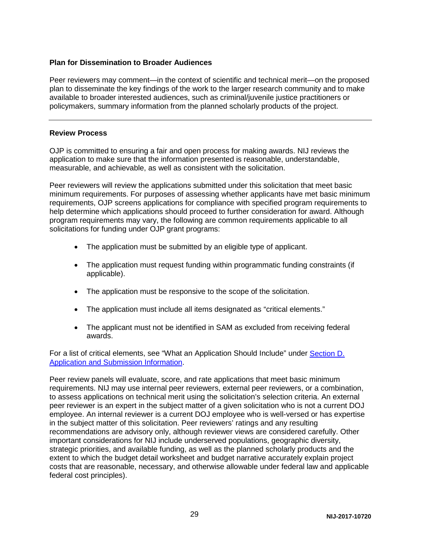#### **Plan for Dissemination to Broader Audiences**

Peer reviewers may comment—in the context of scientific and technical merit—on the proposed plan to disseminate the key findings of the work to the larger research community and to make available to broader interested audiences, such as criminal/juvenile justice practitioners or policymakers, summary information from the planned scholarly products of the project.

#### <span id="page-29-0"></span>**Review Process**

OJP is committed to ensuring a fair and open process for making awards. NIJ reviews the application to make sure that the information presented is reasonable, understandable, measurable, and achievable, as well as consistent with the solicitation.

Peer reviewers will review the applications submitted under this solicitation that meet basic minimum requirements. For purposes of assessing whether applicants have met basic minimum requirements, OJP screens applications for compliance with specified program requirements to help determine which applications should proceed to further consideration for award. Although program requirements may vary, the following are common requirements applicable to all solicitations for funding under OJP grant programs:

- The application must be submitted by an eligible type of applicant.
- The application must request funding within programmatic funding constraints (if applicable).
- The application must be responsive to the scope of the solicitation.
- The application must include all items designated as "critical elements."
- The applicant must not be identified in SAM as excluded from receiving federal awards.

For a list of critical elements, see "What an Application Should Include" under [Section D.](#page-13-0)  [Application and Submission Information.](#page-13-0)

Peer review panels will evaluate, score, and rate applications that meet basic minimum requirements. NIJ may use internal peer reviewers, external peer reviewers, or a combination, to assess applications on technical merit using the solicitation's selection criteria. An external peer reviewer is an expert in the subject matter of a given solicitation who is not a current DOJ employee. An internal reviewer is a current DOJ employee who is well-versed or has expertise in the subject matter of this solicitation. Peer reviewers' ratings and any resulting recommendations are advisory only, although reviewer views are considered carefully. Other important considerations for NIJ include underserved populations, geographic diversity, strategic priorities, and available funding, as well as the planned scholarly products and the extent to which the budget detail worksheet and budget narrative accurately explain project costs that are reasonable, necessary, and otherwise allowable under federal law and applicable federal cost principles).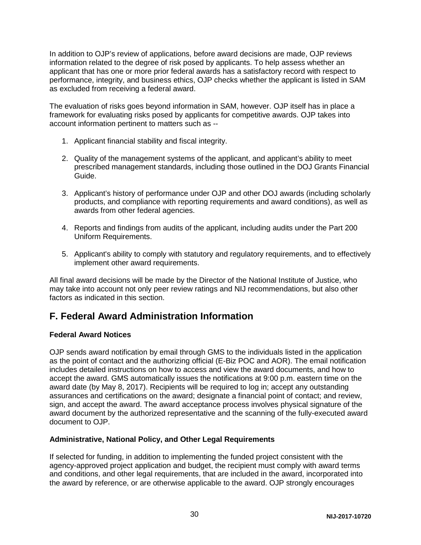In addition to OJP's review of applications, before award decisions are made, OJP reviews information related to the degree of risk posed by applicants. To help assess whether an applicant that has one or more prior federal awards has a satisfactory record with respect to performance, integrity, and business ethics, OJP checks whether the applicant is listed in SAM as excluded from receiving a federal award.

The evaluation of risks goes beyond information in SAM, however. OJP itself has in place a framework for evaluating risks posed by applicants for competitive awards. OJP takes into account information pertinent to matters such as --

- 1. Applicant financial stability and fiscal integrity.
- 2. Quality of the management systems of the applicant, and applicant's ability to meet prescribed management standards, including those outlined in the DOJ Grants Financial Guide.
- 3. Applicant's history of performance under OJP and other DOJ awards (including scholarly products, and compliance with reporting requirements and award conditions), as well as awards from other federal agencies.
- 4. Reports and findings from audits of the applicant, including audits under the Part 200 Uniform Requirements.
- 5. Applicant's ability to comply with statutory and regulatory requirements, and to effectively implement other award requirements.

All final award decisions will be made by the Director of the National Institute of Justice, who may take into account not only peer review ratings and NIJ recommendations, but also other factors as indicated in this section.

### <span id="page-30-0"></span>**F. Federal Award Administration Information**

#### <span id="page-30-1"></span>**Federal Award Notices**

OJP sends award notification by email through GMS to the individuals listed in the application as the point of contact and the authorizing official (E-Biz POC and AOR). The email notification includes detailed instructions on how to access and view the award documents, and how to accept the award. GMS automatically issues the notifications at 9:00 p.m. eastern time on the award date (by May 8, 2017). Recipients will be required to log in; accept any outstanding assurances and certifications on the award; designate a financial point of contact; and review, sign, and accept the award. The award acceptance process involves physical signature of the award document by the authorized representative and the scanning of the fully-executed award document to OJP.

#### <span id="page-30-2"></span>**Administrative, National Policy, and Other Legal Requirements**

If selected for funding, in addition to implementing the funded project consistent with the agency-approved project application and budget, the recipient must comply with award terms and conditions, and other legal requirements, that are included in the award, incorporated into the award by reference, or are otherwise applicable to the award. OJP strongly encourages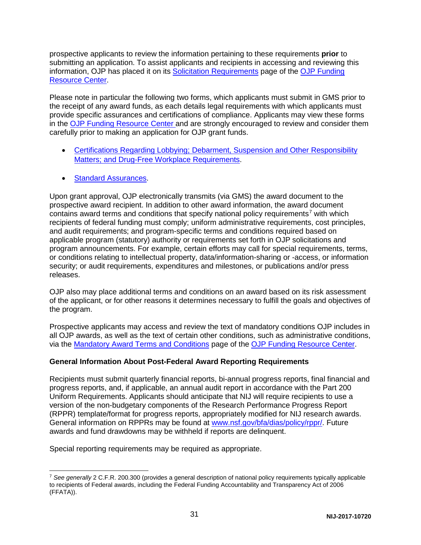prospective applicants to review the information pertaining to these requirements **prior** to submitting an application. To assist applicants and recipients in accessing and reviewing this information, OJP has placed it on its [Solicitation Requirements](http://ojp.gov/funding/Explore/SolicitationRequirements/index.htm) page of the [OJP Funding](http://ojp.gov/funding/index.htm)  [Resource Center.](http://ojp.gov/funding/index.htm)

Please note in particular the following two forms, which applicants must submit in GMS prior to the receipt of any award funds, as each details legal requirements with which applicants must provide specific assurances and certifications of compliance. Applicants may view these forms in the [OJP Funding Resource Center](http://ojp.gov/funding/index.htm) and are strongly encouraged to review and consider them carefully prior to making an application for OJP grant funds.

- [Certifications Regarding Lobbying; Debarment, Suspension and Other Responsibility](http://ojp.gov/funding/Apply/Forms.htm)  [Matters; and Drug-Free Workplace Requirements.](http://ojp.gov/funding/Apply/Forms.htm)
- [Standard Assurances.](http://ojp.gov/funding/Apply/Forms.htm)

Upon grant approval, OJP electronically transmits (via GMS) the award document to the prospective award recipient. In addition to other award information, the award document contains award terms and conditions that specify national policy requirements<sup>[7](#page-31-1)</sup> with which recipients of federal funding must comply; uniform administrative requirements, cost principles, and audit requirements; and program-specific terms and conditions required based on applicable program (statutory) authority or requirements set forth in OJP solicitations and program announcements. For example, certain efforts may call for special requirements, terms, or conditions relating to intellectual property, data/information-sharing or -access, or information security; or audit requirements, expenditures and milestones, or publications and/or press releases.

OJP also may place additional terms and conditions on an award based on its risk assessment of the applicant, or for other reasons it determines necessary to fulfill the goals and objectives of the program.

Prospective applicants may access and review the text of mandatory conditions OJP includes in all OJP awards, as well as the text of certain other conditions, such as administrative conditions, via the [Mandatory Award Terms and Conditions](http://ojp.gov/funding/Explore/SolicitationRequirements/MandatoryTermsConditions.htm) page of the [OJP Funding Resource Center.](http://ojp.gov/funding/index.htm)

#### <span id="page-31-0"></span>**General Information About Post-Federal Award Reporting Requirements**

Recipients must submit quarterly financial reports, bi-annual progress reports, final financial and progress reports, and, if applicable, an annual audit report in accordance with the Part 200 Uniform Requirements. Applicants should anticipate that NIJ will require recipients to use a version of the non-budgetary components of the Research Performance Progress Report (RPPR) template/format for progress reports, appropriately modified for NIJ research awards. General information on RPPRs may be found at [www.nsf.gov/bfa/dias/policy/rppr/.](http://www.nsf.gov/bfa/dias/policy/rppr/) Future awards and fund drawdowns may be withheld if reports are delinquent.

Special reporting requirements may be required as appropriate.

<span id="page-31-1"></span> <sup>7</sup> *See generally* 2 C.F.R. 200.300 (provides a general description of national policy requirements typically applicable to recipients of Federal awards, including the Federal Funding Accountability and Transparency Act of 2006 (FFATA)).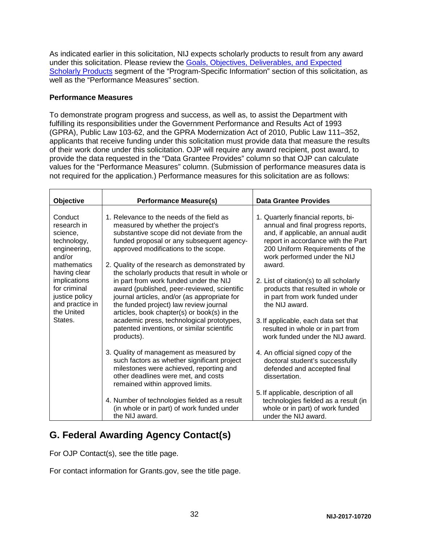As indicated earlier in this solicitation, NIJ expects scholarly products to result from any award under this solicitation. Please review the [Goals, Objectives, Deliverables, and Expected](#page-8-2)  [Scholarly Products](#page-8-2) segment of the "Program-Specific Information" section of this solicitation, as well as the "Performance Measures" section.

#### **Performance Measures**

To demonstrate program progress and success, as well as, to assist the Department with fulfilling its responsibilities under the Government Performance and Results Act of 1993 (GPRA), Public Law 103-62, and the GPRA Modernization Act of 2010, Public Law 111–352, applicants that receive funding under this solicitation must provide data that measure the results of their work done under this solicitation. OJP will require any award recipient, post award, to provide the data requested in the "Data Grantee Provides" column so that OJP can calculate values for the "Performance Measures" column. (Submission of performance measures data is not required for the application.) Performance measures for this solicitation are as follows:

| Objective                                                                                                                                                                                                | <b>Performance Measure(s)</b>                                                                                                                                                                                                                                                                                                           | <b>Data Grantee Provides</b>                                                                                                                                                                                                        |  |
|----------------------------------------------------------------------------------------------------------------------------------------------------------------------------------------------------------|-----------------------------------------------------------------------------------------------------------------------------------------------------------------------------------------------------------------------------------------------------------------------------------------------------------------------------------------|-------------------------------------------------------------------------------------------------------------------------------------------------------------------------------------------------------------------------------------|--|
| Conduct<br>research in<br>science,<br>technology,<br>engineering,<br>and/or<br>mathematics<br>having clear<br>implications<br>for criminal<br>justice policy<br>and practice in<br>the United<br>States. | 1. Relevance to the needs of the field as<br>measured by whether the project's<br>substantive scope did not deviate from the<br>funded proposal or any subsequent agency-<br>approved modifications to the scope.<br>2. Quality of the research as demonstrated by<br>the scholarly products that result in whole or                    | 1. Quarterly financial reports, bi-<br>annual and final progress reports,<br>and, if applicable, an annual audit<br>report in accordance with the Part<br>200 Uniform Requirements of the<br>work performed under the NIJ<br>award. |  |
|                                                                                                                                                                                                          | in part from work funded under the NIJ<br>award (published, peer-reviewed, scientific<br>journal articles, and/or (as appropriate for<br>the funded project) law review journal<br>articles, book chapter(s) or book(s) in the<br>academic press, technological prototypes,<br>patented inventions, or similar scientific<br>products). | 2. List of citation(s) to all scholarly<br>products that resulted in whole or<br>in part from work funded under<br>the NIJ award.                                                                                                   |  |
|                                                                                                                                                                                                          |                                                                                                                                                                                                                                                                                                                                         | 3. If applicable, each data set that<br>resulted in whole or in part from<br>work funded under the NIJ award.                                                                                                                       |  |
|                                                                                                                                                                                                          | 3. Quality of management as measured by<br>such factors as whether significant project<br>milestones were achieved, reporting and<br>other deadlines were met, and costs<br>remained within approved limits.                                                                                                                            | 4. An official signed copy of the<br>doctoral student's successfully<br>defended and accepted final<br>dissertation.                                                                                                                |  |
|                                                                                                                                                                                                          | 4. Number of technologies fielded as a result<br>(in whole or in part) of work funded under<br>the NIJ award.                                                                                                                                                                                                                           | 5. If applicable, description of all<br>technologies fielded as a result (in<br>whole or in part) of work funded<br>under the NIJ award.                                                                                            |  |

## <span id="page-32-0"></span>**G. Federal Awarding Agency Contact(s)**

For OJP Contact(s), see the title page.

For contact information for Grants.gov, see the title page.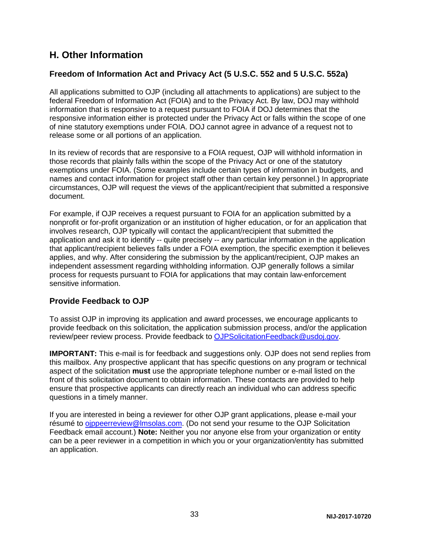### <span id="page-33-0"></span>**H. Other Information**

### <span id="page-33-1"></span>**Freedom of Information Act and Privacy Act (5 U.S.C. 552 and 5 U.S.C. 552a)**

All applications submitted to OJP (including all attachments to applications) are subject to the federal Freedom of Information Act (FOIA) and to the Privacy Act. By law, DOJ may withhold information that is responsive to a request pursuant to FOIA if DOJ determines that the responsive information either is protected under the Privacy Act or falls within the scope of one of nine statutory exemptions under FOIA. DOJ cannot agree in advance of a request not to release some or all portions of an application.

In its review of records that are responsive to a FOIA request, OJP will withhold information in those records that plainly falls within the scope of the Privacy Act or one of the statutory exemptions under FOIA. (Some examples include certain types of information in budgets, and names and contact information for project staff other than certain key personnel.) In appropriate circumstances, OJP will request the views of the applicant/recipient that submitted a responsive document.

For example, if OJP receives a request pursuant to FOIA for an application submitted by a nonprofit or for-profit organization or an institution of higher education, or for an application that involves research, OJP typically will contact the applicant/recipient that submitted the application and ask it to identify -- quite precisely -- any particular information in the application that applicant/recipient believes falls under a FOIA exemption, the specific exemption it believes applies, and why. After considering the submission by the applicant/recipient, OJP makes an independent assessment regarding withholding information. OJP generally follows a similar process for requests pursuant to FOIA for applications that may contain law-enforcement sensitive information.

### <span id="page-33-2"></span>**Provide Feedback to OJP**

To assist OJP in improving its application and award processes, we encourage applicants to provide feedback on this solicitation, the application submission process, and/or the application review/peer review process. Provide feedback to [OJPSolicitationFeedback@usdoj.gov.](mailto:OJPSolicitationFeedback@usdoj.gov)

**IMPORTANT:** This e-mail is for feedback and suggestions only. OJP does not send replies from this mailbox. Any prospective applicant that has specific questions on any program or technical aspect of the solicitation **must** use the appropriate telephone number or e-mail listed on the front of this solicitation document to obtain information. These contacts are provided to help ensure that prospective applicants can directly reach an individual who can address specific questions in a timely manner.

If you are interested in being a reviewer for other OJP grant applications, please e-mail your résumé to [ojppeerreview@lmsolas.com.](mailto:ojppeerreview@lmsolas.com) (Do not send your resume to the OJP Solicitation Feedback email account.) **Note:** Neither you nor anyone else from your organization or entity can be a peer reviewer in a competition in which you or your organization/entity has submitted an application.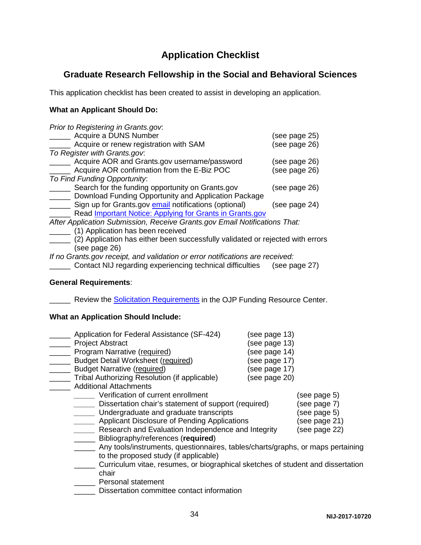# **Application Checklist**

### <span id="page-34-0"></span>**Graduate Research Fellowship in the Social and Behavioral Sciences**

This application checklist has been created to assist in developing an application.

#### **What an Applicant Should Do:**

| Prior to Registering in Grants.gov.                                            |               |
|--------------------------------------------------------------------------------|---------------|
| Acquire a DUNS Number                                                          | (see page 25) |
| Acquire or renew registration with SAM                                         | (see page 26) |
| To Register with Grants.gov.                                                   |               |
| Acquire AOR and Grants.gov username/password                                   | (see page 26) |
| Acquire AOR confirmation from the E-Biz POC                                    | (see page 26) |
| To Find Funding Opportunity:                                                   |               |
| Search for the funding opportunity on Grants.gov                               | (see page 26) |
| Download Funding Opportunity and Application Package                           |               |
| Sign up for Grants.gov email notifications (optional)                          | (see page 24) |
| Read Important Notice: Applying for Grants in Grants.gov                       |               |
| After Application Submission, Receive Grants.gov Email Notifications That:     |               |
| (1) Application has been received                                              |               |
| (2) Application has either been successfully validated or rejected with errors |               |
| (see page 26)                                                                  |               |

*If no Grants.gov receipt, and validation or error notifications are received:*

\_\_\_\_\_ Contact NIJ regarding experiencing technical difficulties (see page 27)

#### **General Requirements**:

**Number 20** Review the **Solicitation Requirements** in the OJP Funding Resource Center.

#### **What an Application Should Include:**

| Application for Federal Assistance (SF-424)                                     | (see page 13) |               |
|---------------------------------------------------------------------------------|---------------|---------------|
| <b>Project Abstract</b>                                                         | (see page 13) |               |
| Program Narrative (required)                                                    | (see page 14) |               |
| <b>Budget Detail Worksheet (required)</b>                                       | (see page 17) |               |
| <b>Budget Narrative (required)</b>                                              | (see page 17) |               |
| Tribal Authorizing Resolution (if applicable)                                   | (see page 20) |               |
| <b>Additional Attachments</b>                                                   |               |               |
| Verification of current enrollment                                              |               | (see page 5)  |
| Dissertation chair's statement of support (required)                            |               | (see page 7)  |
| Undergraduate and graduate transcripts                                          |               | (see page 5)  |
| Applicant Disclosure of Pending Applications                                    |               | (see page 21) |
| Research and Evaluation Independence and Integrity                              |               | (see page 22) |
| Bibliography/references (required)                                              |               |               |
| Any tools/instruments, questionnaires, tables/charts/graphs, or maps pertaining |               |               |
| to the proposed study (if applicable)                                           |               |               |
| Curriculum vitae, resumes, or biographical sketches of student and dissertation |               |               |
| chair                                                                           |               |               |
| Daroonal atatamant                                                              |               |               |

\_\_\_\_\_ Personal statement

**EXECUTE:** Dissertation committee contact information